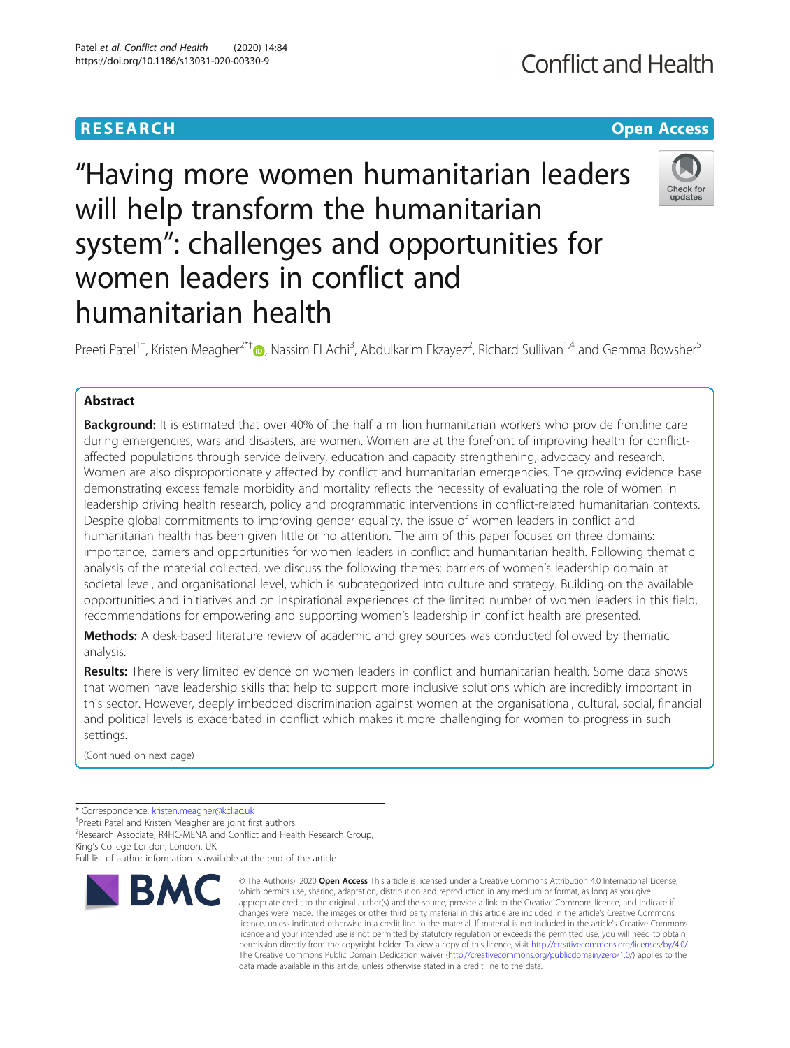# **RESEARCH CHEAR CHEAR CHEAR CHEAR CHEAR CHEAR CHEAR CHEAR CHEAR CHEAR CHEAR CHEAR CHEAR CHEAR CHEAR CHEAR CHEAR**

# "Having more women humanitarian leaders will help transform the humanitarian system": challenges and opportunities for women leaders in conflict and humanitarian health



Preeti Patel<sup>1+</sup>[,](http://orcid.org/0000-0001-8060-0505) Kristen Meagher<sup>2\*†</sup>®, Nassim El Achi<sup>3</sup>, Abdulkarim Ekzayez<sup>2</sup>, Richard Sullivan<sup>1,4</sup> and Gemma Bowsher<sup>5</sup>

# Abstract

Background: It is estimated that over 40% of the half a million humanitarian workers who provide frontline care during emergencies, wars and disasters, are women. Women are at the forefront of improving health for conflictaffected populations through service delivery, education and capacity strengthening, advocacy and research. Women are also disproportionately affected by conflict and humanitarian emergencies. The growing evidence base demonstrating excess female morbidity and mortality reflects the necessity of evaluating the role of women in leadership driving health research, policy and programmatic interventions in conflict-related humanitarian contexts. Despite global commitments to improving gender equality, the issue of women leaders in conflict and humanitarian health has been given little or no attention. The aim of this paper focuses on three domains: importance, barriers and opportunities for women leaders in conflict and humanitarian health. Following thematic analysis of the material collected, we discuss the following themes: barriers of women's leadership domain at societal level, and organisational level, which is subcategorized into culture and strategy. Building on the available opportunities and initiatives and on inspirational experiences of the limited number of women leaders in this field, recommendations for empowering and supporting women's leadership in conflict health are presented.

Methods: A desk-based literature review of academic and grey sources was conducted followed by thematic analysis.

Results: There is very limited evidence on women leaders in conflict and humanitarian health. Some data shows that women have leadership skills that help to support more inclusive solutions which are incredibly important in this sector. However, deeply imbedded discrimination against women at the organisational, cultural, social, financial and political levels is exacerbated in conflict which makes it more challenging for women to progress in such settings.

(Continued on next page)

\* Correspondence: [kristen.meagher@kcl.ac.uk](mailto:kristen.meagher@kcl.ac.uk) †

<sup>+</sup>Preeti Patel and Kristen Meagher are joint first authors.

<sup>2</sup> Research Associate, R4HC-MENA and Conflict and Health Research Group, King's College London, London, UK

Full list of author information is available at the end of the article



<sup>©</sup> The Author(s), 2020 **Open Access** This article is licensed under a Creative Commons Attribution 4.0 International License, which permits use, sharing, adaptation, distribution and reproduction in any medium or format, as long as you give appropriate credit to the original author(s) and the source, provide a link to the Creative Commons licence, and indicate if changes were made. The images or other third party material in this article are included in the article's Creative Commons licence, unless indicated otherwise in a credit line to the material. If material is not included in the article's Creative Commons licence and your intended use is not permitted by statutory regulation or exceeds the permitted use, you will need to obtain permission directly from the copyright holder. To view a copy of this licence, visit [http://creativecommons.org/licenses/by/4.0/.](http://creativecommons.org/licenses/by/4.0/) The Creative Commons Public Domain Dedication waiver [\(http://creativecommons.org/publicdomain/zero/1.0/](http://creativecommons.org/publicdomain/zero/1.0/)) applies to the data made available in this article, unless otherwise stated in a credit line to the data.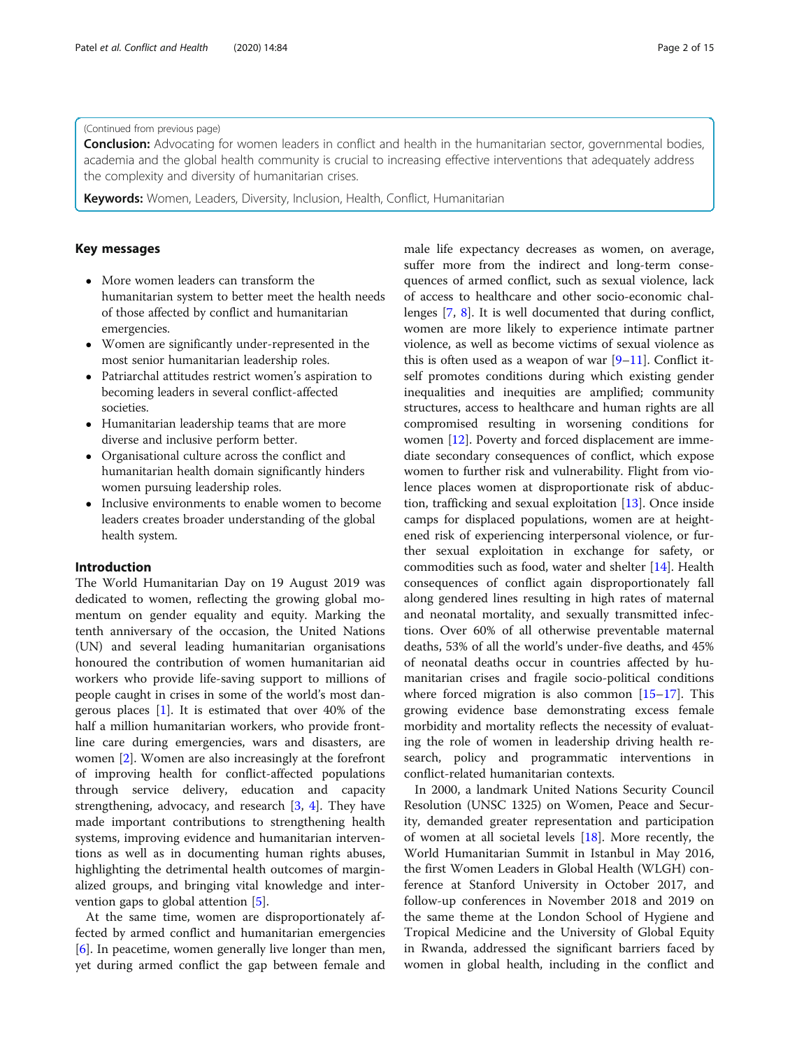#### (Continued from previous page)

**Conclusion:** Advocating for women leaders in conflict and health in the humanitarian sector, governmental bodies, academia and the global health community is crucial to increasing effective interventions that adequately address the complexity and diversity of humanitarian crises.

**Keywords:** Women, Leaders, Diversity, Inclusion, Health, Conflict, Humanitarian

#### Key messages

- More women leaders can transform the humanitarian system to better meet the health needs of those affected by conflict and humanitarian emergencies.
- Women are significantly under-represented in the most senior humanitarian leadership roles.
- Patriarchal attitudes restrict women's aspiration to becoming leaders in several conflict-affected societies.
- Humanitarian leadership teams that are more diverse and inclusive perform better.
- Organisational culture across the conflict and humanitarian health domain significantly hinders women pursuing leadership roles.
- Inclusive environments to enable women to become leaders creates broader understanding of the global health system.

#### Introduction

The World Humanitarian Day on 19 August 2019 was dedicated to women, reflecting the growing global momentum on gender equality and equity. Marking the tenth anniversary of the occasion, the United Nations (UN) and several leading humanitarian organisations honoured the contribution of women humanitarian aid workers who provide life-saving support to millions of people caught in crises in some of the world's most dangerous places [[1\]](#page-11-0). It is estimated that over 40% of the half a million humanitarian workers, who provide frontline care during emergencies, wars and disasters, are women [[2\]](#page-11-0). Women are also increasingly at the forefront of improving health for conflict-affected populations through service delivery, education and capacity strengthening, advocacy, and research  $[3, 4]$  $[3, 4]$  $[3, 4]$ . They have made important contributions to strengthening health systems, improving evidence and humanitarian interventions as well as in documenting human rights abuses, highlighting the detrimental health outcomes of marginalized groups, and bringing vital knowledge and intervention gaps to global attention [[5\]](#page-11-0).

At the same time, women are disproportionately affected by armed conflict and humanitarian emergencies [[6\]](#page-11-0). In peacetime, women generally live longer than men, yet during armed conflict the gap between female and male life expectancy decreases as women, on average, suffer more from the indirect and long-term consequences of armed conflict, such as sexual violence, lack of access to healthcare and other socio-economic challenges [[7,](#page-11-0) [8](#page-11-0)]. It is well documented that during conflict, women are more likely to experience intimate partner violence, as well as become victims of sexual violence as this is often used as a weapon of war [\[9](#page-11-0)–[11\]](#page-11-0). Conflict itself promotes conditions during which existing gender inequalities and inequities are amplified; community structures, access to healthcare and human rights are all compromised resulting in worsening conditions for women [[12\]](#page-11-0). Poverty and forced displacement are immediate secondary consequences of conflict, which expose women to further risk and vulnerability. Flight from violence places women at disproportionate risk of abduction, trafficking and sexual exploitation [[13](#page-11-0)]. Once inside camps for displaced populations, women are at heightened risk of experiencing interpersonal violence, or further sexual exploitation in exchange for safety, or commodities such as food, water and shelter [\[14\]](#page-12-0). Health consequences of conflict again disproportionately fall along gendered lines resulting in high rates of maternal and neonatal mortality, and sexually transmitted infections. Over 60% of all otherwise preventable maternal deaths, 53% of all the world's under-five deaths, and 45% of neonatal deaths occur in countries affected by humanitarian crises and fragile socio-political conditions where forced migration is also common [[15](#page-12-0)–[17](#page-12-0)]. This growing evidence base demonstrating excess female morbidity and mortality reflects the necessity of evaluating the role of women in leadership driving health research, policy and programmatic interventions in conflict-related humanitarian contexts.

In 2000, a landmark United Nations Security Council Resolution (UNSC 1325) on Women, Peace and Security, demanded greater representation and participation of women at all societal levels [[18\]](#page-12-0). More recently, the World Humanitarian Summit in Istanbul in May 2016, the first Women Leaders in Global Health (WLGH) conference at Stanford University in October 2017, and follow-up conferences in November 2018 and 2019 on the same theme at the London School of Hygiene and Tropical Medicine and the University of Global Equity in Rwanda, addressed the significant barriers faced by women in global health, including in the conflict and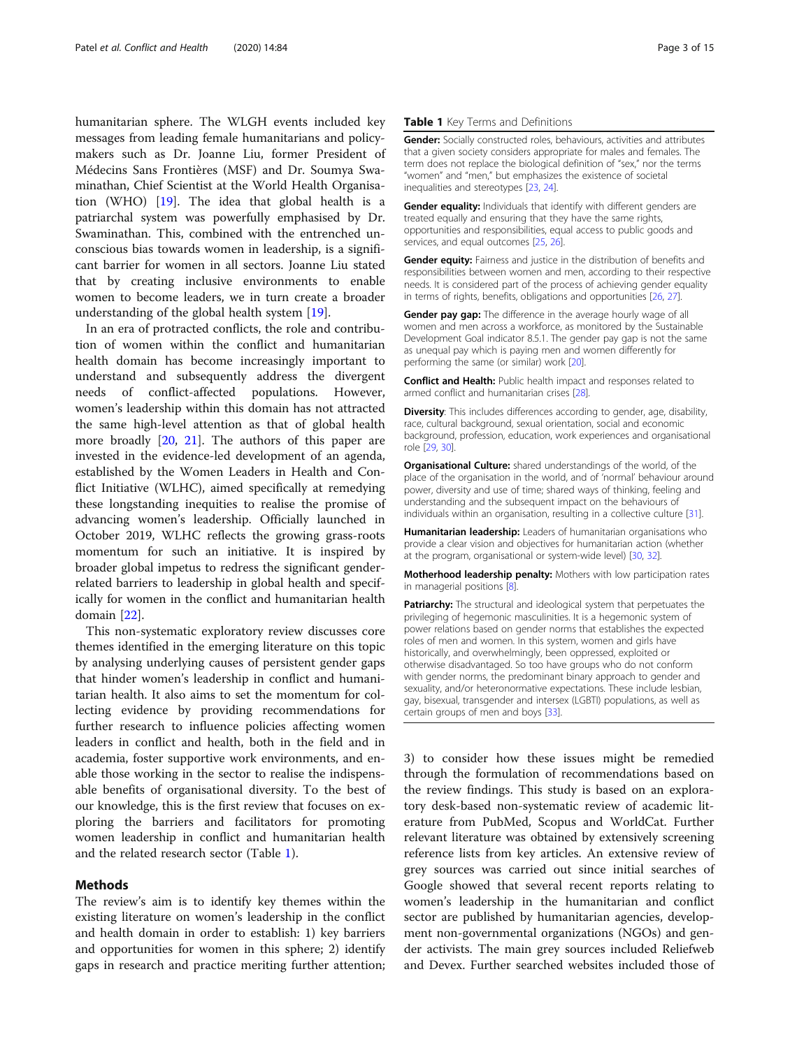humanitarian sphere. The WLGH events included key messages from leading female humanitarians and policymakers such as Dr. Joanne Liu, former President of Médecins Sans Frontières (MSF) and Dr. Soumya Swaminathan, Chief Scientist at the World Health Organisation (WHO) [[19](#page-12-0)]. The idea that global health is a patriarchal system was powerfully emphasised by Dr. Swaminathan. This, combined with the entrenched unconscious bias towards women in leadership, is a significant barrier for women in all sectors. Joanne Liu stated that by creating inclusive environments to enable women to become leaders, we in turn create a broader understanding of the global health system [\[19](#page-12-0)].

In an era of protracted conflicts, the role and contribution of women within the conflict and humanitarian health domain has become increasingly important to understand and subsequently address the divergent needs of conflict-affected populations. However, women's leadership within this domain has not attracted the same high-level attention as that of global health more broadly [\[20,](#page-12-0) [21\]](#page-12-0). The authors of this paper are invested in the evidence-led development of an agenda, established by the Women Leaders in Health and Conflict Initiative (WLHC), aimed specifically at remedying these longstanding inequities to realise the promise of advancing women's leadership. Officially launched in October 2019, WLHC reflects the growing grass-roots momentum for such an initiative. It is inspired by broader global impetus to redress the significant genderrelated barriers to leadership in global health and specifically for women in the conflict and humanitarian health domain [[22\]](#page-12-0).

This non-systematic exploratory review discusses core themes identified in the emerging literature on this topic by analysing underlying causes of persistent gender gaps that hinder women's leadership in conflict and humanitarian health. It also aims to set the momentum for collecting evidence by providing recommendations for further research to influence policies affecting women leaders in conflict and health, both in the field and in academia, foster supportive work environments, and enable those working in the sector to realise the indispensable benefits of organisational diversity. To the best of our knowledge, this is the first review that focuses on exploring the barriers and facilitators for promoting women leadership in conflict and humanitarian health and the related research sector (Table 1).

#### Methods

The review's aim is to identify key themes within the existing literature on women's leadership in the conflict and health domain in order to establish: 1) key barriers and opportunities for women in this sphere; 2) identify gaps in research and practice meriting further attention;

#### Table 1 Key Terms and Definitions

Gender: Socially constructed roles, behaviours, activities and attributes that a given society considers appropriate for males and females. The term does not replace the biological definition of "sex," nor the terms "women" and "men," but emphasizes the existence of societal inequalities and stereotypes [\[23](#page-12-0), [24](#page-12-0)].

Gender equality: Individuals that identify with different genders are treated equally and ensuring that they have the same rights, opportunities and responsibilities, equal access to public goods and services, and equal outcomes [[25](#page-12-0), [26\]](#page-12-0).

Gender equity: Fairness and justice in the distribution of benefits and responsibilities between women and men, according to their respective needs. It is considered part of the process of achieving gender equality in terms of rights, benefits, obligations and opportunities [[26,](#page-12-0) [27\]](#page-12-0).

**Gender pay gap:** The difference in the average hourly wage of all women and men across a workforce, as monitored by the Sustainable Development Goal indicator 8.5.1. The gender pay gap is not the same as unequal pay which is paying men and women differently for performing the same (or similar) work [[20\]](#page-12-0).

Conflict and Health: Public health impact and responses related to armed conflict and humanitarian crises [[28\]](#page-12-0).

Diversity: This includes differences according to gender, age, disability, race, cultural background, sexual orientation, social and economic background, profession, education, work experiences and organisational role [\[29,](#page-12-0) [30](#page-12-0)].

Organisational Culture: shared understandings of the world, of the place of the organisation in the world, and of 'normal' behaviour around power, diversity and use of time; shared ways of thinking, feeling and understanding and the subsequent impact on the behaviours of individuals within an organisation, resulting in a collective culture [\[31](#page-12-0)].

**Humanitarian leadership:** Leaders of humanitarian organisations who provide a clear vision and objectives for humanitarian action (whether at the program, organisational or system-wide level) [[30](#page-12-0), [32\]](#page-12-0).

Motherhood leadership penalty: Mothers with low participation rates in managerial positions [[8](#page-11-0)].

Patriarchy: The structural and ideological system that perpetuates the privileging of hegemonic masculinities. It is a hegemonic system of power relations based on gender norms that establishes the expected roles of men and women. In this system, women and girls have historically, and overwhelmingly, been oppressed, exploited or otherwise disadvantaged. So too have groups who do not conform with gender norms, the predominant binary approach to gender and sexuality, and/or heteronormative expectations. These include lesbian, gay, bisexual, transgender and intersex (LGBTI) populations, as well as certain groups of men and boys [[33\]](#page-12-0).

3) to consider how these issues might be remedied through the formulation of recommendations based on the review findings. This study is based on an exploratory desk-based non-systematic review of academic literature from PubMed, Scopus and WorldCat. Further relevant literature was obtained by extensively screening reference lists from key articles. An extensive review of grey sources was carried out since initial searches of Google showed that several recent reports relating to women's leadership in the humanitarian and conflict sector are published by humanitarian agencies, development non-governmental organizations (NGOs) and gender activists. The main grey sources included Reliefweb and Devex. Further searched websites included those of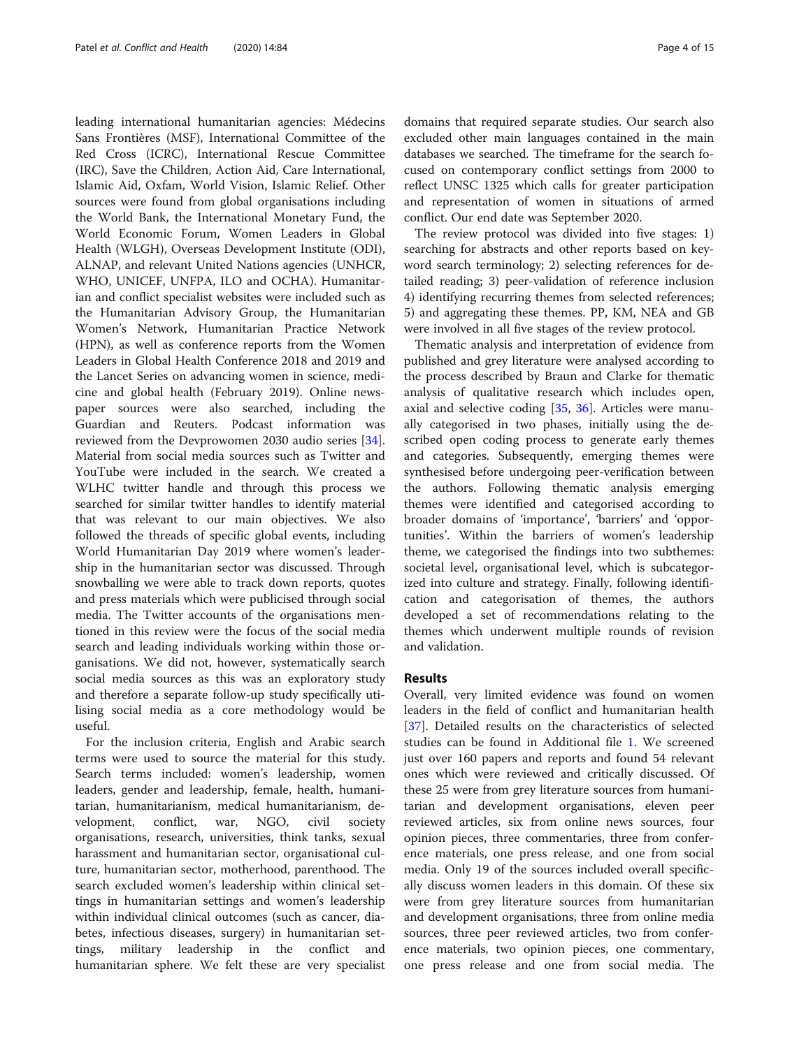leading international humanitarian agencies: Médecins Sans Frontières (MSF), International Committee of the Red Cross (ICRC), International Rescue Committee (IRC), Save the Children, Action Aid, Care International, Islamic Aid, Oxfam, World Vision, Islamic Relief. Other sources were found from global organisations including the World Bank, the International Monetary Fund, the World Economic Forum, Women Leaders in Global Health (WLGH), Overseas Development Institute (ODI), ALNAP, and relevant United Nations agencies (UNHCR, WHO, UNICEF, UNFPA, ILO and OCHA). Humanitarian and conflict specialist websites were included such as the Humanitarian Advisory Group, the Humanitarian Women's Network, Humanitarian Practice Network (HPN), as well as conference reports from the Women Leaders in Global Health Conference 2018 and 2019 and the Lancet Series on advancing women in science, medicine and global health (February 2019). Online newspaper sources were also searched, including the Guardian and Reuters. Podcast information was reviewed from the Devprowomen 2030 audio series [\[34](#page-12-0)]. Material from social media sources such as Twitter and YouTube were included in the search. We created a WLHC twitter handle and through this process we searched for similar twitter handles to identify material that was relevant to our main objectives. We also followed the threads of specific global events, including World Humanitarian Day 2019 where women's leadership in the humanitarian sector was discussed. Through snowballing we were able to track down reports, quotes and press materials which were publicised through social media. The Twitter accounts of the organisations mentioned in this review were the focus of the social media search and leading individuals working within those organisations. We did not, however, systematically search social media sources as this was an exploratory study and therefore a separate follow-up study specifically utilising social media as a core methodology would be useful.

For the inclusion criteria, English and Arabic search terms were used to source the material for this study. Search terms included: women's leadership, women leaders, gender and leadership, female, health, humanitarian, humanitarianism, medical humanitarianism, development, conflict, war, NGO, civil society organisations, research, universities, think tanks, sexual harassment and humanitarian sector, organisational culture, humanitarian sector, motherhood, parenthood. The search excluded women's leadership within clinical settings in humanitarian settings and women's leadership within individual clinical outcomes (such as cancer, diabetes, infectious diseases, surgery) in humanitarian settings, military leadership in the conflict and humanitarian sphere. We felt these are very specialist

domains that required separate studies. Our search also excluded other main languages contained in the main databases we searched. The timeframe for the search focused on contemporary conflict settings from 2000 to reflect UNSC 1325 which calls for greater participation and representation of women in situations of armed conflict. Our end date was September 2020.

The review protocol was divided into five stages: 1) searching for abstracts and other reports based on keyword search terminology; 2) selecting references for detailed reading; 3) peer-validation of reference inclusion 4) identifying recurring themes from selected references; 5) and aggregating these themes. PP, KM, NEA and GB were involved in all five stages of the review protocol.

Thematic analysis and interpretation of evidence from published and grey literature were analysed according to the process described by Braun and Clarke for thematic analysis of qualitative research which includes open, axial and selective coding [[35](#page-12-0), [36](#page-12-0)]. Articles were manually categorised in two phases, initially using the described open coding process to generate early themes and categories. Subsequently, emerging themes were synthesised before undergoing peer-verification between the authors. Following thematic analysis emerging themes were identified and categorised according to broader domains of 'importance', 'barriers' and 'opportunities'. Within the barriers of women's leadership theme, we categorised the findings into two subthemes: societal level, organisational level, which is subcategorized into culture and strategy. Finally, following identification and categorisation of themes, the authors developed a set of recommendations relating to the themes which underwent multiple rounds of revision and validation.

#### Results

Overall, very limited evidence was found on women leaders in the field of conflict and humanitarian health [[37\]](#page-12-0). Detailed results on the characteristics of selected studies can be found in Additional file [1](#page-11-0). We screened just over 160 papers and reports and found 54 relevant ones which were reviewed and critically discussed. Of these 25 were from grey literature sources from humanitarian and development organisations, eleven peer reviewed articles, six from online news sources, four opinion pieces, three commentaries, three from conference materials, one press release, and one from social media. Only 19 of the sources included overall specifically discuss women leaders in this domain. Of these six were from grey literature sources from humanitarian and development organisations, three from online media sources, three peer reviewed articles, two from conference materials, two opinion pieces, one commentary, one press release and one from social media. The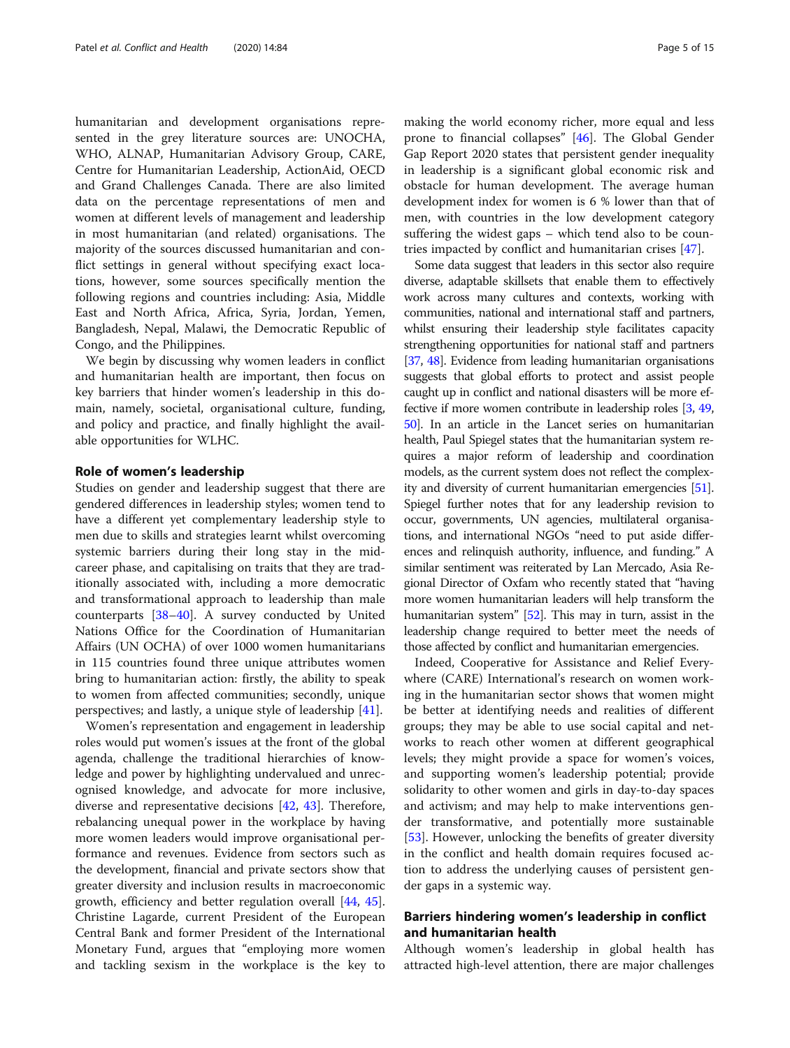humanitarian and development organisations represented in the grey literature sources are: UNOCHA, WHO, ALNAP, Humanitarian Advisory Group, CARE, Centre for Humanitarian Leadership, ActionAid, OECD and Grand Challenges Canada. There are also limited data on the percentage representations of men and women at different levels of management and leadership in most humanitarian (and related) organisations. The majority of the sources discussed humanitarian and conflict settings in general without specifying exact locations, however, some sources specifically mention the following regions and countries including: Asia, Middle East and North Africa, Africa, Syria, Jordan, Yemen, Bangladesh, Nepal, Malawi, the Democratic Republic of Congo, and the Philippines.

We begin by discussing why women leaders in conflict and humanitarian health are important, then focus on key barriers that hinder women's leadership in this domain, namely, societal, organisational culture, funding, and policy and practice, and finally highlight the available opportunities for WLHC.

#### Role of women's leadership

Studies on gender and leadership suggest that there are gendered differences in leadership styles; women tend to have a different yet complementary leadership style to men due to skills and strategies learnt whilst overcoming systemic barriers during their long stay in the midcareer phase, and capitalising on traits that they are traditionally associated with, including a more democratic and transformational approach to leadership than male counterparts [\[38](#page-12-0)–[40\]](#page-12-0). A survey conducted by United Nations Office for the Coordination of Humanitarian Affairs (UN OCHA) of over 1000 women humanitarians in 115 countries found three unique attributes women bring to humanitarian action: firstly, the ability to speak to women from affected communities; secondly, unique perspectives; and lastly, a unique style of leadership [\[41](#page-12-0)].

Women's representation and engagement in leadership roles would put women's issues at the front of the global agenda, challenge the traditional hierarchies of knowledge and power by highlighting undervalued and unrecognised knowledge, and advocate for more inclusive, diverse and representative decisions [\[42](#page-12-0), [43\]](#page-12-0). Therefore, rebalancing unequal power in the workplace by having more women leaders would improve organisational performance and revenues. Evidence from sectors such as the development, financial and private sectors show that greater diversity and inclusion results in macroeconomic growth, efficiency and better regulation overall [[44](#page-12-0), [45](#page-12-0)]. Christine Lagarde, current President of the European Central Bank and former President of the International Monetary Fund, argues that "employing more women and tackling sexism in the workplace is the key to making the world economy richer, more equal and less prone to financial collapses" [[46](#page-12-0)]. The Global Gender Gap Report 2020 states that persistent gender inequality in leadership is a significant global economic risk and obstacle for human development. The average human development index for women is 6 % lower than that of men, with countries in the low development category suffering the widest gaps – which tend also to be countries impacted by conflict and humanitarian crises [[47\]](#page-12-0).

Some data suggest that leaders in this sector also require diverse, adaptable skillsets that enable them to effectively work across many cultures and contexts, working with communities, national and international staff and partners, whilst ensuring their leadership style facilitates capacity strengthening opportunities for national staff and partners [[37](#page-12-0), [48\]](#page-12-0). Evidence from leading humanitarian organisations suggests that global efforts to protect and assist people caught up in conflict and national disasters will be more effective if more women contribute in leadership roles [\[3](#page-11-0), [49](#page-12-0), [50](#page-12-0)]. In an article in the Lancet series on humanitarian health, Paul Spiegel states that the humanitarian system requires a major reform of leadership and coordination models, as the current system does not reflect the complexity and diversity of current humanitarian emergencies [\[51](#page-12-0)]. Spiegel further notes that for any leadership revision to occur, governments, UN agencies, multilateral organisations, and international NGOs "need to put aside differences and relinquish authority, influence, and funding." A similar sentiment was reiterated by Lan Mercado, Asia Regional Director of Oxfam who recently stated that "having more women humanitarian leaders will help transform the humanitarian system" [[52](#page-12-0)]. This may in turn, assist in the leadership change required to better meet the needs of those affected by conflict and humanitarian emergencies.

Indeed, Cooperative for Assistance and Relief Everywhere (CARE) International's research on women working in the humanitarian sector shows that women might be better at identifying needs and realities of different groups; they may be able to use social capital and networks to reach other women at different geographical levels; they might provide a space for women's voices, and supporting women's leadership potential; provide solidarity to other women and girls in day-to-day spaces and activism; and may help to make interventions gender transformative, and potentially more sustainable [[53\]](#page-13-0). However, unlocking the benefits of greater diversity in the conflict and health domain requires focused action to address the underlying causes of persistent gender gaps in a systemic way.

#### Barriers hindering women's leadership in conflict and humanitarian health

Although women's leadership in global health has attracted high-level attention, there are major challenges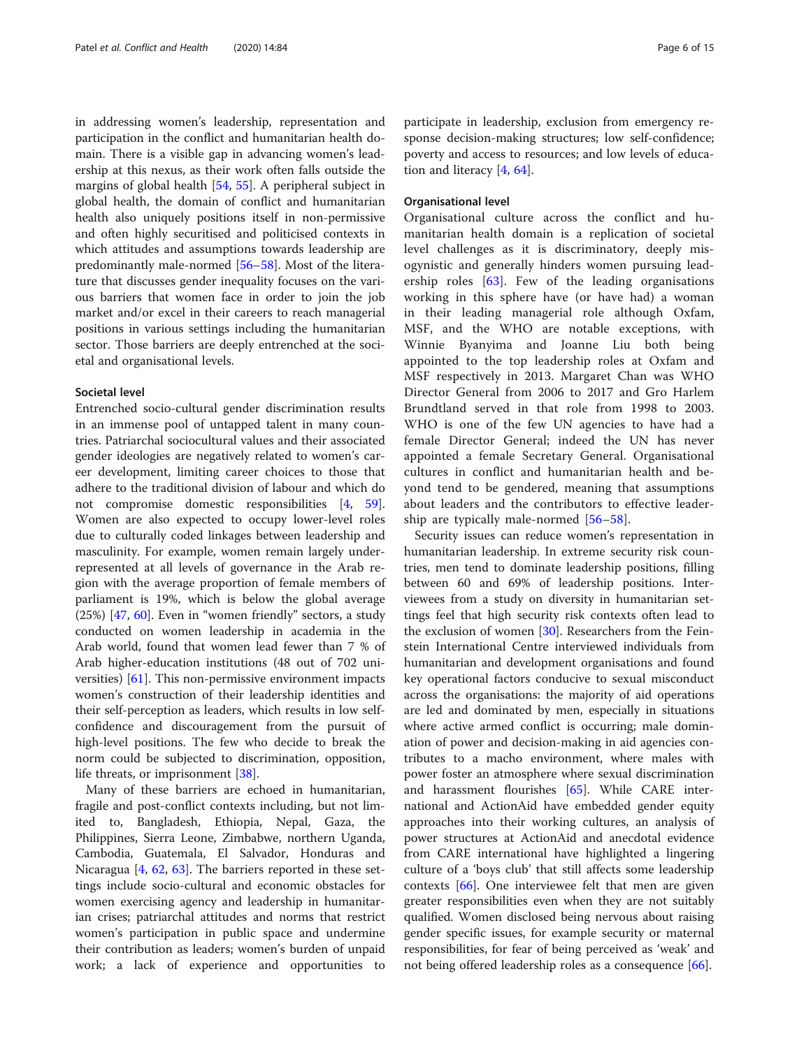in addressing women's leadership, representation and participation in the conflict and humanitarian health domain. There is a visible gap in advancing women's leadership at this nexus, as their work often falls outside the margins of global health [[54,](#page-13-0) [55\]](#page-13-0). A peripheral subject in global health, the domain of conflict and humanitarian health also uniquely positions itself in non-permissive and often highly securitised and politicised contexts in which attitudes and assumptions towards leadership are predominantly male-normed [[56](#page-13-0)–[58](#page-13-0)]. Most of the literature that discusses gender inequality focuses on the various barriers that women face in order to join the job market and/or excel in their careers to reach managerial positions in various settings including the humanitarian sector. Those barriers are deeply entrenched at the societal and organisational levels.

#### Societal level

Entrenched socio-cultural gender discrimination results in an immense pool of untapped talent in many countries. Patriarchal sociocultural values and their associated gender ideologies are negatively related to women's career development, limiting career choices to those that adhere to the traditional division of labour and which do not compromise domestic responsibilities [\[4,](#page-11-0) [59](#page-13-0)]. Women are also expected to occupy lower-level roles due to culturally coded linkages between leadership and masculinity. For example, women remain largely underrepresented at all levels of governance in the Arab region with the average proportion of female members of parliament is 19%, which is below the global average (25%) [[47,](#page-12-0) [60\]](#page-13-0). Even in "women friendly" sectors, a study conducted on women leadership in academia in the Arab world, found that women lead fewer than 7 % of Arab higher-education institutions (48 out of 702 universities) [[61\]](#page-13-0). This non-permissive environment impacts women's construction of their leadership identities and their self-perception as leaders, which results in low selfconfidence and discouragement from the pursuit of high-level positions. The few who decide to break the norm could be subjected to discrimination, opposition, life threats, or imprisonment [[38](#page-12-0)].

Many of these barriers are echoed in humanitarian, fragile and post-conflict contexts including, but not limited to, Bangladesh, Ethiopia, Nepal, Gaza, the Philippines, Sierra Leone, Zimbabwe, northern Uganda, Cambodia, Guatemala, El Salvador, Honduras and Nicaragua [\[4](#page-11-0), [62](#page-13-0), [63\]](#page-13-0). The barriers reported in these settings include socio-cultural and economic obstacles for women exercising agency and leadership in humanitarian crises; patriarchal attitudes and norms that restrict women's participation in public space and undermine their contribution as leaders; women's burden of unpaid work; a lack of experience and opportunities to

participate in leadership, exclusion from emergency response decision-making structures; low self-confidence; poverty and access to resources; and low levels of education and literacy [[4](#page-11-0), [64](#page-13-0)].

#### Organisational level

Organisational culture across the conflict and humanitarian health domain is a replication of societal level challenges as it is discriminatory, deeply misogynistic and generally hinders women pursuing leadership roles [[63\]](#page-13-0). Few of the leading organisations working in this sphere have (or have had) a woman in their leading managerial role although Oxfam, MSF, and the WHO are notable exceptions, with Winnie Byanyima and Joanne Liu both being appointed to the top leadership roles at Oxfam and MSF respectively in 2013. Margaret Chan was WHO Director General from 2006 to 2017 and Gro Harlem Brundtland served in that role from 1998 to 2003. WHO is one of the few UN agencies to have had a female Director General; indeed the UN has never appointed a female Secretary General. Organisational cultures in conflict and humanitarian health and beyond tend to be gendered, meaning that assumptions about leaders and the contributors to effective leader-ship are typically male-normed [\[56](#page-13-0)–[58](#page-13-0)].

Security issues can reduce women's representation in humanitarian leadership. In extreme security risk countries, men tend to dominate leadership positions, filling between 60 and 69% of leadership positions. Interviewees from a study on diversity in humanitarian settings feel that high security risk contexts often lead to the exclusion of women [\[30](#page-12-0)]. Researchers from the Feinstein International Centre interviewed individuals from humanitarian and development organisations and found key operational factors conducive to sexual misconduct across the organisations: the majority of aid operations are led and dominated by men, especially in situations where active armed conflict is occurring; male domination of power and decision-making in aid agencies contributes to a macho environment, where males with power foster an atmosphere where sexual discrimination and harassment flourishes [[65\]](#page-13-0). While CARE international and ActionAid have embedded gender equity approaches into their working cultures, an analysis of power structures at ActionAid and anecdotal evidence from CARE international have highlighted a lingering culture of a 'boys club' that still affects some leadership contexts [[66\]](#page-13-0). One interviewee felt that men are given greater responsibilities even when they are not suitably qualified. Women disclosed being nervous about raising gender specific issues, for example security or maternal responsibilities, for fear of being perceived as 'weak' and not being offered leadership roles as a consequence [[66\]](#page-13-0).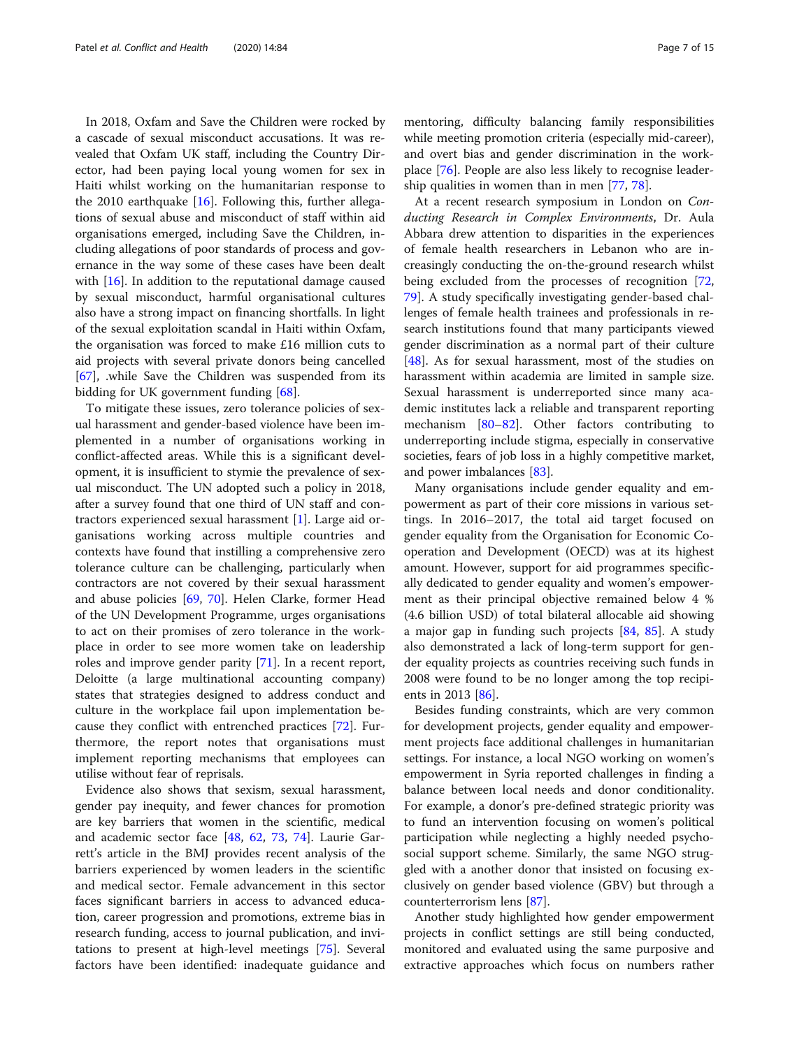In 2018, Oxfam and Save the Children were rocked by a cascade of sexual misconduct accusations. It was revealed that Oxfam UK staff, including the Country Director, had been paying local young women for sex in Haiti whilst working on the humanitarian response to the 2010 earthquake  $[16]$  $[16]$  $[16]$ . Following this, further allegations of sexual abuse and misconduct of staff within aid organisations emerged, including Save the Children, including allegations of poor standards of process and governance in the way some of these cases have been dealt with [[16\]](#page-12-0). In addition to the reputational damage caused by sexual misconduct, harmful organisational cultures also have a strong impact on financing shortfalls. In light of the sexual exploitation scandal in Haiti within Oxfam, the organisation was forced to make £16 million cuts to aid projects with several private donors being cancelled [[67\]](#page-13-0), .while Save the Children was suspended from its bidding for UK government funding [\[68\]](#page-13-0).

To mitigate these issues, zero tolerance policies of sexual harassment and gender-based violence have been implemented in a number of organisations working in conflict-affected areas. While this is a significant development, it is insufficient to stymie the prevalence of sexual misconduct. The UN adopted such a policy in 2018, after a survey found that one third of UN staff and contractors experienced sexual harassment [[1\]](#page-11-0). Large aid organisations working across multiple countries and contexts have found that instilling a comprehensive zero tolerance culture can be challenging, particularly when contractors are not covered by their sexual harassment and abuse policies [[69](#page-13-0), [70](#page-13-0)]. Helen Clarke, former Head of the UN Development Programme, urges organisations to act on their promises of zero tolerance in the workplace in order to see more women take on leadership roles and improve gender parity [\[71\]](#page-13-0). In a recent report, Deloitte (a large multinational accounting company) states that strategies designed to address conduct and culture in the workplace fail upon implementation because they conflict with entrenched practices [[72\]](#page-13-0). Furthermore, the report notes that organisations must implement reporting mechanisms that employees can utilise without fear of reprisals.

Evidence also shows that sexism, sexual harassment, gender pay inequity, and fewer chances for promotion are key barriers that women in the scientific, medical and academic sector face [[48,](#page-12-0) [62](#page-13-0), [73,](#page-13-0) [74](#page-13-0)]. Laurie Garrett's article in the BMJ provides recent analysis of the barriers experienced by women leaders in the scientific and medical sector. Female advancement in this sector faces significant barriers in access to advanced education, career progression and promotions, extreme bias in research funding, access to journal publication, and invitations to present at high-level meetings [\[75](#page-13-0)]. Several factors have been identified: inadequate guidance and mentoring, difficulty balancing family responsibilities while meeting promotion criteria (especially mid-career), and overt bias and gender discrimination in the workplace [[76\]](#page-13-0). People are also less likely to recognise leadership qualities in women than in men [[77](#page-13-0), [78](#page-13-0)].

At a recent research symposium in London on Conducting Research in Complex Environments, Dr. Aula Abbara drew attention to disparities in the experiences of female health researchers in Lebanon who are increasingly conducting the on-the-ground research whilst being excluded from the processes of recognition [[72](#page-13-0), [79\]](#page-13-0). A study specifically investigating gender-based challenges of female health trainees and professionals in research institutions found that many participants viewed gender discrimination as a normal part of their culture [[48\]](#page-12-0). As for sexual harassment, most of the studies on harassment within academia are limited in sample size. Sexual harassment is underreported since many academic institutes lack a reliable and transparent reporting mechanism [\[80](#page-13-0)–[82\]](#page-13-0). Other factors contributing to underreporting include stigma, especially in conservative societies, fears of job loss in a highly competitive market, and power imbalances [\[83](#page-13-0)].

Many organisations include gender equality and empowerment as part of their core missions in various settings. In 2016–2017, the total aid target focused on gender equality from the Organisation for Economic Cooperation and Development (OECD) was at its highest amount. However, support for aid programmes specifically dedicated to gender equality and women's empowerment as their principal objective remained below 4 % (4.6 billion USD) of total bilateral allocable aid showing a major gap in funding such projects  $[84, 85]$  $[84, 85]$  $[84, 85]$  $[84, 85]$ . A study also demonstrated a lack of long-term support for gender equality projects as countries receiving such funds in 2008 were found to be no longer among the top recipients in 2013 [\[86\]](#page-13-0).

Besides funding constraints, which are very common for development projects, gender equality and empowerment projects face additional challenges in humanitarian settings. For instance, a local NGO working on women's empowerment in Syria reported challenges in finding a balance between local needs and donor conditionality. For example, a donor's pre-defined strategic priority was to fund an intervention focusing on women's political participation while neglecting a highly needed psychosocial support scheme. Similarly, the same NGO struggled with a another donor that insisted on focusing exclusively on gender based violence (GBV) but through a counterterrorism lens [[87](#page-13-0)].

Another study highlighted how gender empowerment projects in conflict settings are still being conducted, monitored and evaluated using the same purposive and extractive approaches which focus on numbers rather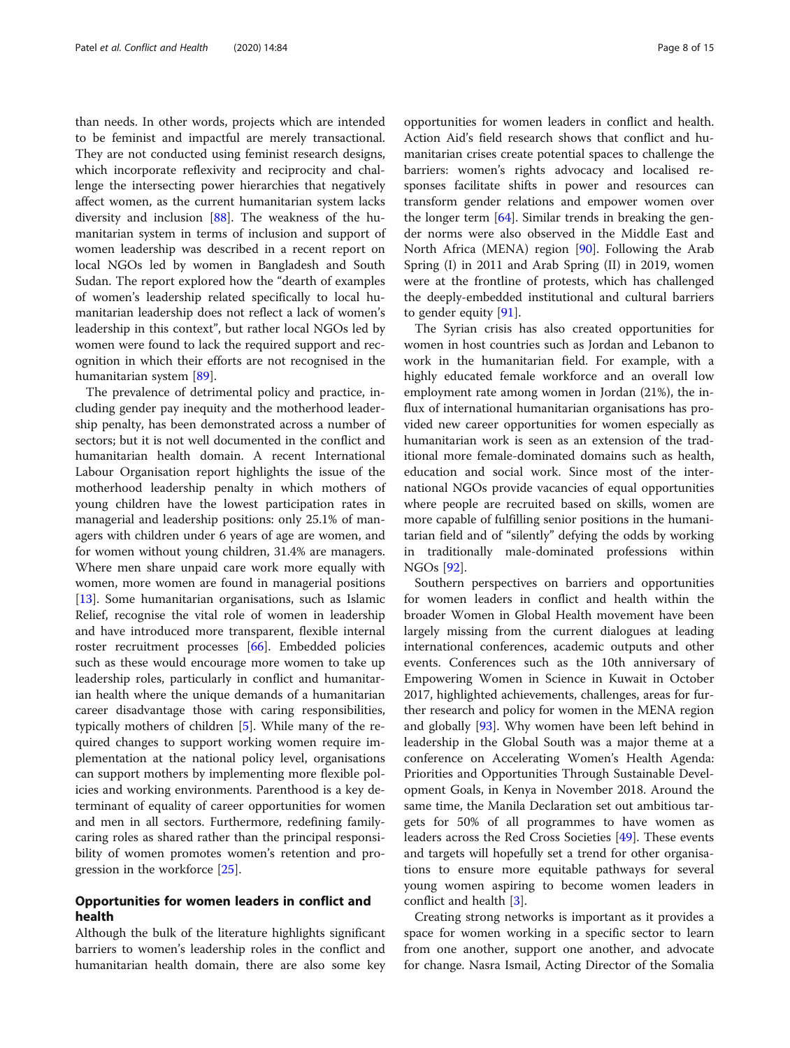than needs. In other words, projects which are intended to be feminist and impactful are merely transactional. They are not conducted using feminist research designs, which incorporate reflexivity and reciprocity and challenge the intersecting power hierarchies that negatively affect women, as the current humanitarian system lacks diversity and inclusion [\[88](#page-13-0)]. The weakness of the humanitarian system in terms of inclusion and support of women leadership was described in a recent report on local NGOs led by women in Bangladesh and South Sudan. The report explored how the "dearth of examples of women's leadership related specifically to local humanitarian leadership does not reflect a lack of women's leadership in this context", but rather local NGOs led by women were found to lack the required support and recognition in which their efforts are not recognised in the humanitarian system [\[89](#page-13-0)].

The prevalence of detrimental policy and practice, including gender pay inequity and the motherhood leadership penalty, has been demonstrated across a number of sectors; but it is not well documented in the conflict and humanitarian health domain. A recent International Labour Organisation report highlights the issue of the motherhood leadership penalty in which mothers of young children have the lowest participation rates in managerial and leadership positions: only 25.1% of managers with children under 6 years of age are women, and for women without young children, 31.4% are managers. Where men share unpaid care work more equally with women, more women are found in managerial positions [[13\]](#page-11-0). Some humanitarian organisations, such as Islamic Relief, recognise the vital role of women in leadership and have introduced more transparent, flexible internal roster recruitment processes [\[66\]](#page-13-0). Embedded policies such as these would encourage more women to take up leadership roles, particularly in conflict and humanitarian health where the unique demands of a humanitarian career disadvantage those with caring responsibilities, typically mothers of children [[5\]](#page-11-0). While many of the required changes to support working women require implementation at the national policy level, organisations can support mothers by implementing more flexible policies and working environments. Parenthood is a key determinant of equality of career opportunities for women and men in all sectors. Furthermore, redefining familycaring roles as shared rather than the principal responsibility of women promotes women's retention and progression in the workforce [[25\]](#page-12-0).

### Opportunities for women leaders in conflict and health

Although the bulk of the literature highlights significant barriers to women's leadership roles in the conflict and humanitarian health domain, there are also some key

opportunities for women leaders in conflict and health. Action Aid's field research shows that conflict and humanitarian crises create potential spaces to challenge the barriers: women's rights advocacy and localised responses facilitate shifts in power and resources can transform gender relations and empower women over the longer term [[64](#page-13-0)]. Similar trends in breaking the gender norms were also observed in the Middle East and North Africa (MENA) region [[90\]](#page-13-0). Following the Arab Spring (I) in 2011 and Arab Spring (II) in 2019, women were at the frontline of protests, which has challenged the deeply-embedded institutional and cultural barriers to gender equity [[91\]](#page-13-0).

The Syrian crisis has also created opportunities for women in host countries such as Jordan and Lebanon to work in the humanitarian field. For example, with a highly educated female workforce and an overall low employment rate among women in Jordan (21%), the influx of international humanitarian organisations has provided new career opportunities for women especially as humanitarian work is seen as an extension of the traditional more female-dominated domains such as health, education and social work. Since most of the international NGOs provide vacancies of equal opportunities where people are recruited based on skills, women are more capable of fulfilling senior positions in the humanitarian field and of "silently" defying the odds by working in traditionally male-dominated professions within NGOs [\[92\]](#page-13-0).

Southern perspectives on barriers and opportunities for women leaders in conflict and health within the broader Women in Global Health movement have been largely missing from the current dialogues at leading international conferences, academic outputs and other events. Conferences such as the 10th anniversary of Empowering Women in Science in Kuwait in October 2017, highlighted achievements, challenges, areas for further research and policy for women in the MENA region and globally [[93](#page-13-0)]. Why women have been left behind in leadership in the Global South was a major theme at a conference on Accelerating Women's Health Agenda: Priorities and Opportunities Through Sustainable Development Goals, in Kenya in November 2018. Around the same time, the Manila Declaration set out ambitious targets for 50% of all programmes to have women as leaders across the Red Cross Societies [\[49\]](#page-12-0). These events and targets will hopefully set a trend for other organisations to ensure more equitable pathways for several young women aspiring to become women leaders in conflict and health [\[3](#page-11-0)].

Creating strong networks is important as it provides a space for women working in a specific sector to learn from one another, support one another, and advocate for change. Nasra Ismail, Acting Director of the Somalia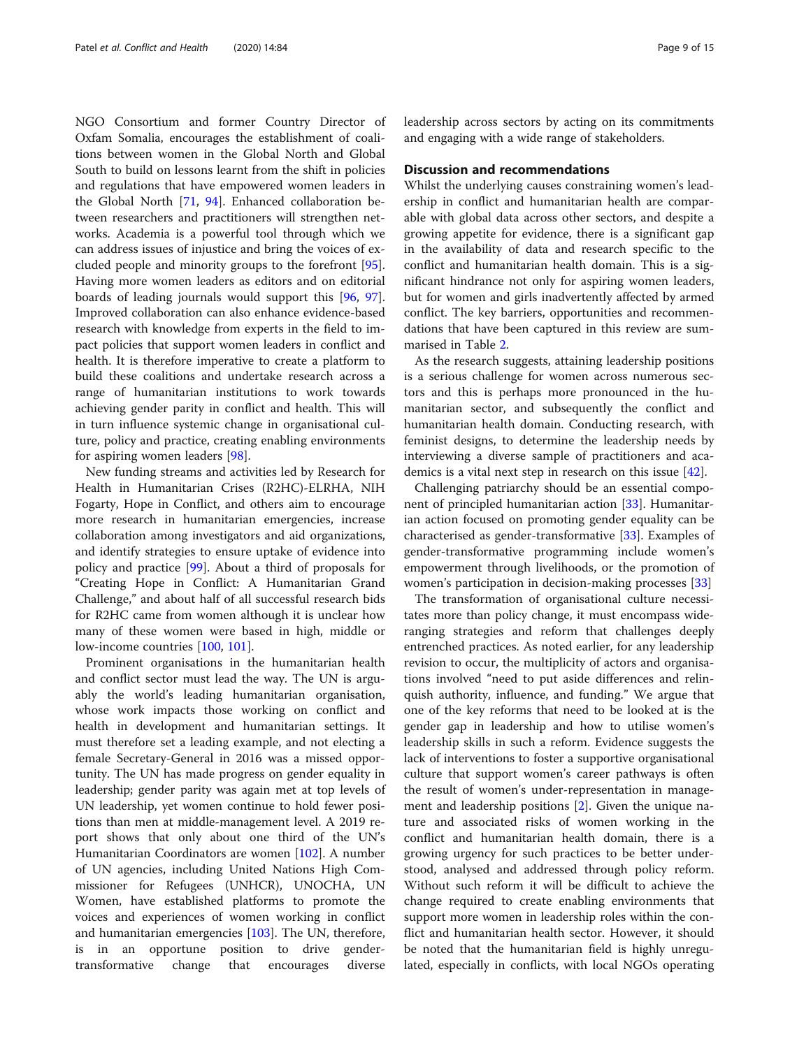NGO Consortium and former Country Director of Oxfam Somalia, encourages the establishment of coalitions between women in the Global North and Global South to build on lessons learnt from the shift in policies and regulations that have empowered women leaders in the Global North [\[71](#page-13-0), [94\]](#page-13-0). Enhanced collaboration between researchers and practitioners will strengthen networks. Academia is a powerful tool through which we can address issues of injustice and bring the voices of excluded people and minority groups to the forefront [\[95](#page-13-0)]. Having more women leaders as editors and on editorial boards of leading journals would support this [\[96,](#page-14-0) [97](#page-14-0)]. Improved collaboration can also enhance evidence-based research with knowledge from experts in the field to impact policies that support women leaders in conflict and health. It is therefore imperative to create a platform to build these coalitions and undertake research across a range of humanitarian institutions to work towards achieving gender parity in conflict and health. This will in turn influence systemic change in organisational culture, policy and practice, creating enabling environments for aspiring women leaders [[98\]](#page-14-0).

New funding streams and activities led by Research for Health in Humanitarian Crises (R2HC)-ELRHA, NIH Fogarty, Hope in Conflict, and others aim to encourage more research in humanitarian emergencies, increase collaboration among investigators and aid organizations, and identify strategies to ensure uptake of evidence into policy and practice [\[99](#page-14-0)]. About a third of proposals for "Creating Hope in Conflict: A Humanitarian Grand Challenge," and about half of all successful research bids for R2HC came from women although it is unclear how many of these women were based in high, middle or low-income countries [[100](#page-14-0), [101](#page-14-0)].

Prominent organisations in the humanitarian health and conflict sector must lead the way. The UN is arguably the world's leading humanitarian organisation, whose work impacts those working on conflict and health in development and humanitarian settings. It must therefore set a leading example, and not electing a female Secretary-General in 2016 was a missed opportunity. The UN has made progress on gender equality in leadership; gender parity was again met at top levels of UN leadership, yet women continue to hold fewer positions than men at middle-management level. A 2019 report shows that only about one third of the UN's Humanitarian Coordinators are women [\[102](#page-14-0)]. A number of UN agencies, including United Nations High Commissioner for Refugees (UNHCR), UNOCHA, UN Women, have established platforms to promote the voices and experiences of women working in conflict and humanitarian emergencies [\[103\]](#page-14-0). The UN, therefore, is in an opportune position to drive gendertransformative change that encourages diverse leadership across sectors by acting on its commitments and engaging with a wide range of stakeholders.

#### Discussion and recommendations

Whilst the underlying causes constraining women's leadership in conflict and humanitarian health are comparable with global data across other sectors, and despite a growing appetite for evidence, there is a significant gap in the availability of data and research specific to the conflict and humanitarian health domain. This is a significant hindrance not only for aspiring women leaders, but for women and girls inadvertently affected by armed conflict. The key barriers, opportunities and recommendations that have been captured in this review are summarised in Table [2.](#page-9-0)

As the research suggests, attaining leadership positions is a serious challenge for women across numerous sectors and this is perhaps more pronounced in the humanitarian sector, and subsequently the conflict and humanitarian health domain. Conducting research, with feminist designs, to determine the leadership needs by interviewing a diverse sample of practitioners and academics is a vital next step in research on this issue [\[42](#page-12-0)].

Challenging patriarchy should be an essential component of principled humanitarian action [[33\]](#page-12-0). Humanitarian action focused on promoting gender equality can be characterised as gender-transformative [\[33](#page-12-0)]. Examples of gender-transformative programming include women's empowerment through livelihoods, or the promotion of women's participation in decision-making processes [[33\]](#page-12-0)

The transformation of organisational culture necessitates more than policy change, it must encompass wideranging strategies and reform that challenges deeply entrenched practices. As noted earlier, for any leadership revision to occur, the multiplicity of actors and organisations involved "need to put aside differences and relinquish authority, influence, and funding." We argue that one of the key reforms that need to be looked at is the gender gap in leadership and how to utilise women's leadership skills in such a reform. Evidence suggests the lack of interventions to foster a supportive organisational culture that support women's career pathways is often the result of women's under-representation in management and leadership positions [\[2\]](#page-11-0). Given the unique nature and associated risks of women working in the conflict and humanitarian health domain, there is a growing urgency for such practices to be better understood, analysed and addressed through policy reform. Without such reform it will be difficult to achieve the change required to create enabling environments that support more women in leadership roles within the conflict and humanitarian health sector. However, it should be noted that the humanitarian field is highly unregulated, especially in conflicts, with local NGOs operating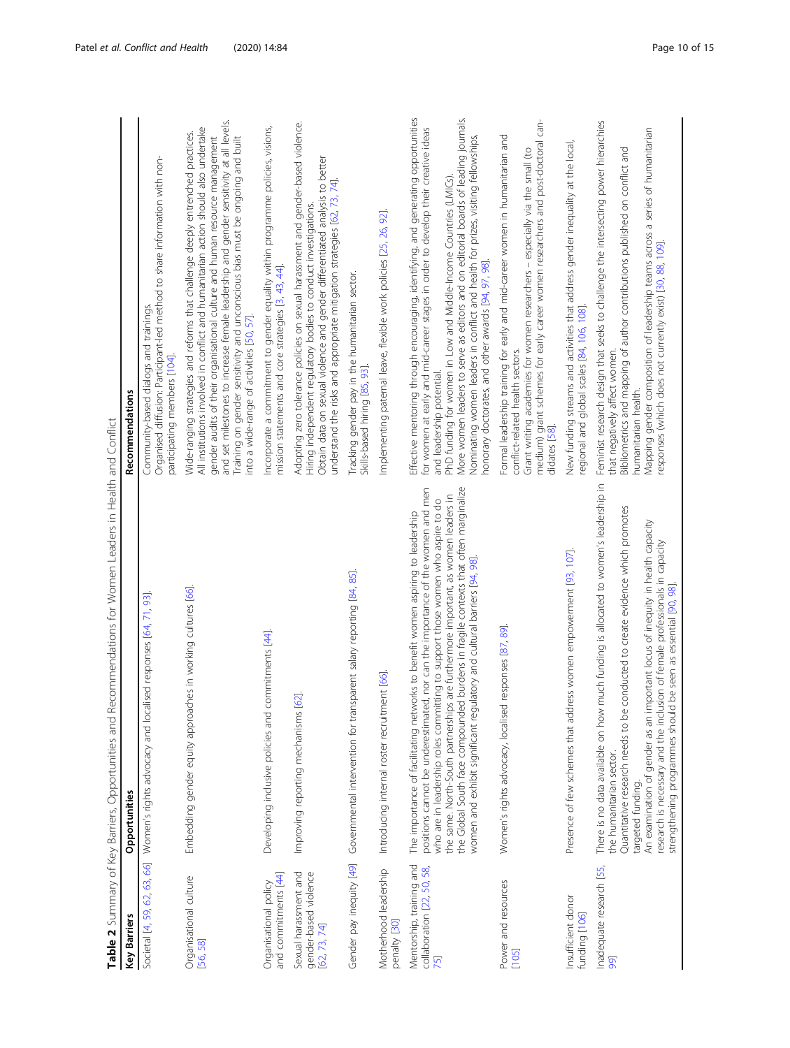| i<br>j<br>I<br>í<br>$\ddot{\phantom{a}}$<br>j<br>l<br>1<br>ׇ֬֕<br>֬֕֜֡<br>i<br>l<br>l |  |
|---------------------------------------------------------------------------------------|--|
| ļ<br>I<br>۱<br>ï<br>ļ<br>ţ<br>i                                                       |  |
| ï                                                                                     |  |
| I<br>l<br>j<br>l<br>j<br>י<br>١<br>ł<br>١<br>j<br>ł<br>l                              |  |
| ֬֕֕֓֡֡<br>İ<br>d<br>ׇֺ֖֚֚֕                                                            |  |
| ׇ֬֕<br>I<br>İ<br>I                                                                    |  |
| i<br>١<br>ì<br>i<br>ī<br>ï<br>l<br>١                                                  |  |
|                                                                                       |  |
| ֡֡<br>ł<br>١<br>i<br>١<br>$\mathbf$                                                   |  |
| å<br>Ò<br>ŀ                                                                           |  |

<span id="page-9-0"></span>

|                                                                | <b>CONSIDERATION</b> CONSIDERED AN USE OF A STATE OF A STATE OF A STATE OF A STATE OF A STATE OF A STATE OF A STATE OF A STATE OF A STATE OF A STATE OF A STATE OF A STATE OF A STATE OF A STATE OF A STATE OF A STATE OF A STATE O                                                                                                                                                                                                                                                                                 |                                                                                                                                                                                                                                                                                                                                                                                                                                                                                                             |
|----------------------------------------------------------------|---------------------------------------------------------------------------------------------------------------------------------------------------------------------------------------------------------------------------------------------------------------------------------------------------------------------------------------------------------------------------------------------------------------------------------------------------------------------------------------------------------------------|-------------------------------------------------------------------------------------------------------------------------------------------------------------------------------------------------------------------------------------------------------------------------------------------------------------------------------------------------------------------------------------------------------------------------------------------------------------------------------------------------------------|
| Key Barriers                                                   | Opportunities                                                                                                                                                                                                                                                                                                                                                                                                                                                                                                       | Recommendations                                                                                                                                                                                                                                                                                                                                                                                                                                                                                             |
| Societal [4, 59, 62, 63, 66]                                   | Women's rights advocacy and localised responses [64, 71, 93].                                                                                                                                                                                                                                                                                                                                                                                                                                                       | Organised diffusion: Participant-led method to share information with non-<br>Community-based dialogs and trainings.<br>participating members [104].                                                                                                                                                                                                                                                                                                                                                        |
| Organisational culture<br>[56,58]                              | es in working cultures [66].<br>Embedding gender equity approach                                                                                                                                                                                                                                                                                                                                                                                                                                                    | and set milestones to increase female leadership and gender sensitivity at all levels.<br>All institutions involved in conflict and humanitarian action should also undertake<br>Wide-ranging strategies and reforms that challenge deeply entrenched practices.<br>gender audits of their organisational culture and human resource management<br>Training on gender sensitivity and unconscious bias must be ongoing and built<br>into a wide-range of activities [50, 57].                               |
| and commitments [44]<br>Organisational policy                  | Developing inclusive policies and commitments [44].                                                                                                                                                                                                                                                                                                                                                                                                                                                                 | Incorporate a commitment to gender equality within programme policies, visions,<br>mission statements and core strategies [3, 43, 44].                                                                                                                                                                                                                                                                                                                                                                      |
| Sexual harassment and<br>gender-based violence<br>[62, 73, 74] | Improving reporting mechanisms [62].                                                                                                                                                                                                                                                                                                                                                                                                                                                                                | Adopting zero tolerance policies on sexual harassment and gender-based violence.<br>Obtain data on sexual violence and gender differentiated analysis to better<br>understand the risks and appropriate mitigation strategies [62, 73, 74].<br>Hiring independent regulatory bodies to conduct investigations.                                                                                                                                                                                              |
| Gender pay inequity [49]                                       | Governmental intervention for transparent salary reporting [84, 85].                                                                                                                                                                                                                                                                                                                                                                                                                                                | Tracking gender pay in the humanitarian sector.<br>Skills-based hiring [85, 93]                                                                                                                                                                                                                                                                                                                                                                                                                             |
| Motherhood leadership<br>penalty [30]                          | Introducing internal roster recruitment [66].                                                                                                                                                                                                                                                                                                                                                                                                                                                                       | Implementing paternal leave, flexible work policies [25, 26, 92].                                                                                                                                                                                                                                                                                                                                                                                                                                           |
| Mentorship, training and<br>collaboration [22, 50, 58,<br>75]  | burdens in fragile contexts that often marginalize<br>positions cannot be underestimated, nor can the importance of the women and men<br>the same. North-South partnerships are furthermore important, as women leaders in<br>who are in leadership roles committing to support those women who aspire to do<br>The importance of facilitating networks to benefit women aspiring to leadership<br>atory and cultural barriers [94, 98].<br>the Global South face compounded<br>women and exhibit significant regul | Effective mentoring through encouraging, identifying, and generating opportunities<br>More women leaders to serve as editors and on editorial boards of leading journals.<br>for women at early and mid-career stages in order to develop their creative ideas<br>Nominating women leaders in conflict and health for prizes, visiting fellowships,<br>PhD funding for women in Low and Middle-Income Countries (LMICs)<br>honorary doctorates, and other awards [94, 97, 98].<br>and leadership potential. |
| Power and resources<br>$[105]$                                 | responses [87, 89].<br>Women's rights advocacy, localised                                                                                                                                                                                                                                                                                                                                                                                                                                                           | medium) grant schemes for early career women researchers and post-doctoral can-<br>Formal leadership training for early and mid-career women in humanitarian and<br>Grant writing academies for women researchers - especially via the small (to<br>conflict-related health sectors.<br>didates [58].                                                                                                                                                                                                       |
| Insufficient donor<br>funding [106]                            | ss women empowerment [93, 107].<br>Presence of few schemes that addre                                                                                                                                                                                                                                                                                                                                                                                                                                               | New funding streams and activities that address gender inequality at the local<br>regional and global scales [84, 106, 108].                                                                                                                                                                                                                                                                                                                                                                                |
| Inadequate research [55,<br>99                                 | There is no data available on how much funding is allocated to women's leadership in<br>Quantitative research needs to be conducted to create evidence which promotes<br>An examination of gender as an important locus of inequity in health capacity<br>research is necessary and the inclusion of female professionals in capacity<br>be seen as essential [90, 98].<br>strengthening programmes should<br>the humanitarian sector<br>targeted funding.                                                          | Feminist research design that seeks to challenge the intersecting power hierarchies<br>Mapping gender composition of leadership teams across a series of humanitarian<br>Bibliometrics and mapping of author contributions published on conflict and<br>responses (which does not currently exist) [30, 88, 109].<br>that negatively affect women.<br>humanitarian health.                                                                                                                                  |
|                                                                |                                                                                                                                                                                                                                                                                                                                                                                                                                                                                                                     |                                                                                                                                                                                                                                                                                                                                                                                                                                                                                                             |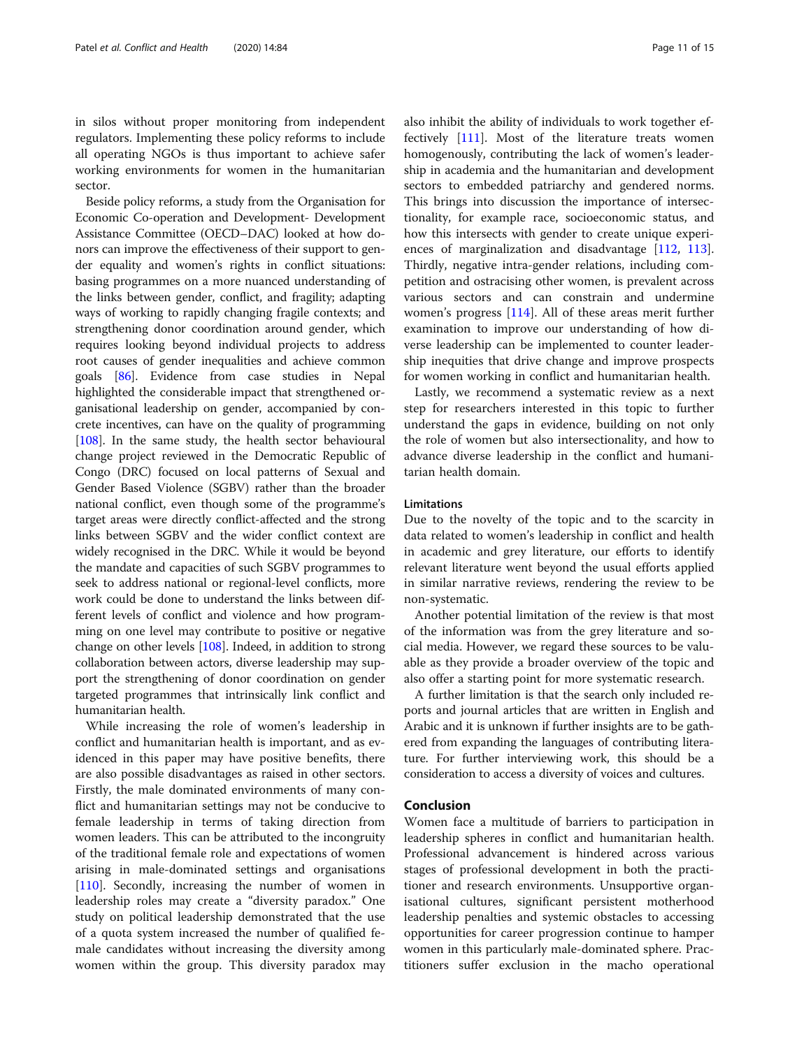in silos without proper monitoring from independent regulators. Implementing these policy reforms to include all operating NGOs is thus important to achieve safer working environments for women in the humanitarian sector.

Beside policy reforms, a study from the Organisation for Economic Co-operation and Development- Development Assistance Committee (OECD–DAC) looked at how donors can improve the effectiveness of their support to gender equality and women's rights in conflict situations: basing programmes on a more nuanced understanding of the links between gender, conflict, and fragility; adapting ways of working to rapidly changing fragile contexts; and strengthening donor coordination around gender, which requires looking beyond individual projects to address root causes of gender inequalities and achieve common goals [\[86\]](#page-13-0). Evidence from case studies in Nepal highlighted the considerable impact that strengthened organisational leadership on gender, accompanied by concrete incentives, can have on the quality of programming [[108](#page-14-0)]. In the same study, the health sector behavioural change project reviewed in the Democratic Republic of Congo (DRC) focused on local patterns of Sexual and Gender Based Violence (SGBV) rather than the broader national conflict, even though some of the programme's target areas were directly conflict-affected and the strong links between SGBV and the wider conflict context are widely recognised in the DRC. While it would be beyond the mandate and capacities of such SGBV programmes to seek to address national or regional-level conflicts, more work could be done to understand the links between different levels of conflict and violence and how programming on one level may contribute to positive or negative change on other levels [[108](#page-14-0)]. Indeed, in addition to strong collaboration between actors, diverse leadership may support the strengthening of donor coordination on gender targeted programmes that intrinsically link conflict and humanitarian health.

While increasing the role of women's leadership in conflict and humanitarian health is important, and as evidenced in this paper may have positive benefits, there are also possible disadvantages as raised in other sectors. Firstly, the male dominated environments of many conflict and humanitarian settings may not be conducive to female leadership in terms of taking direction from women leaders. This can be attributed to the incongruity of the traditional female role and expectations of women arising in male-dominated settings and organisations [[110\]](#page-14-0). Secondly, increasing the number of women in leadership roles may create a "diversity paradox." One study on political leadership demonstrated that the use of a quota system increased the number of qualified female candidates without increasing the diversity among women within the group. This diversity paradox may also inhibit the ability of individuals to work together effectively [[111](#page-14-0)]. Most of the literature treats women homogenously, contributing the lack of women's leadership in academia and the humanitarian and development sectors to embedded patriarchy and gendered norms. This brings into discussion the importance of intersectionality, for example race, socioeconomic status, and how this intersects with gender to create unique experiences of marginalization and disadvantage [\[112,](#page-14-0) [113](#page-14-0)]. Thirdly, negative intra-gender relations, including competition and ostracising other women, is prevalent across various sectors and can constrain and undermine women's progress [\[114\]](#page-14-0). All of these areas merit further examination to improve our understanding of how diverse leadership can be implemented to counter leadership inequities that drive change and improve prospects for women working in conflict and humanitarian health.

Lastly, we recommend a systematic review as a next step for researchers interested in this topic to further understand the gaps in evidence, building on not only the role of women but also intersectionality, and how to advance diverse leadership in the conflict and humanitarian health domain.

#### Limitations

Due to the novelty of the topic and to the scarcity in data related to women's leadership in conflict and health in academic and grey literature, our efforts to identify relevant literature went beyond the usual efforts applied in similar narrative reviews, rendering the review to be non-systematic.

Another potential limitation of the review is that most of the information was from the grey literature and social media. However, we regard these sources to be valuable as they provide a broader overview of the topic and also offer a starting point for more systematic research.

A further limitation is that the search only included reports and journal articles that are written in English and Arabic and it is unknown if further insights are to be gathered from expanding the languages of contributing literature. For further interviewing work, this should be a consideration to access a diversity of voices and cultures.

#### Conclusion

Women face a multitude of barriers to participation in leadership spheres in conflict and humanitarian health. Professional advancement is hindered across various stages of professional development in both the practitioner and research environments. Unsupportive organisational cultures, significant persistent motherhood leadership penalties and systemic obstacles to accessing opportunities for career progression continue to hamper women in this particularly male-dominated sphere. Practitioners suffer exclusion in the macho operational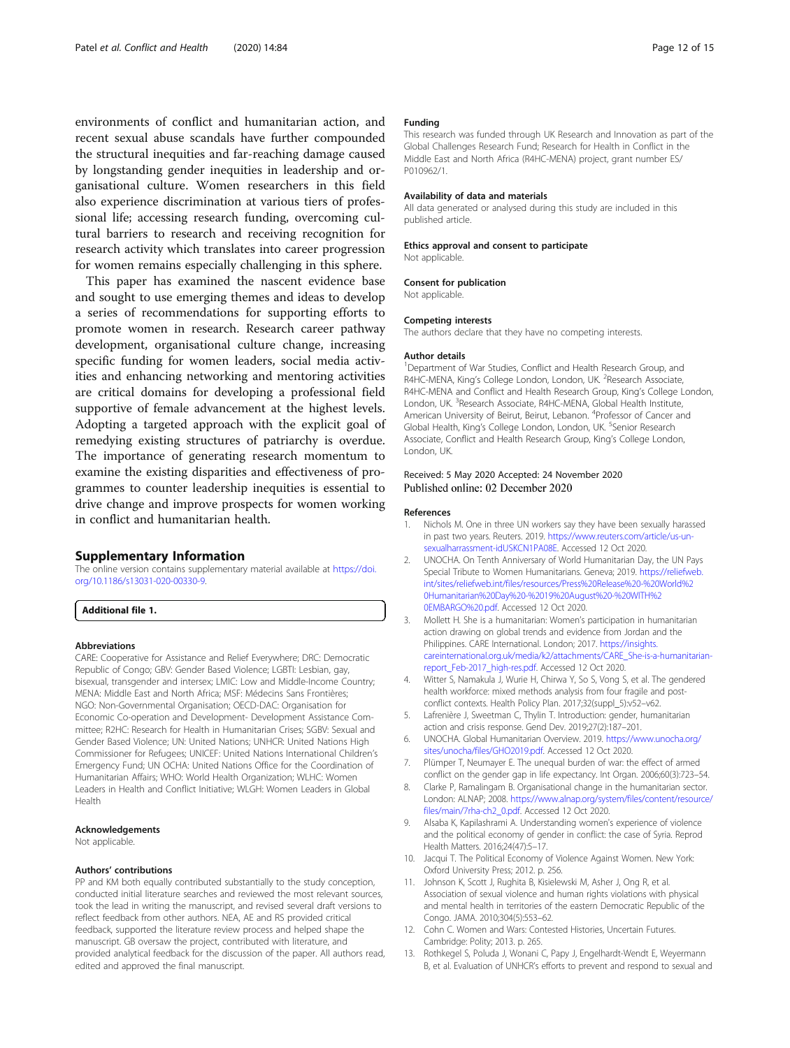<span id="page-11-0"></span>environments of conflict and humanitarian action, and recent sexual abuse scandals have further compounded the structural inequities and far-reaching damage caused by longstanding gender inequities in leadership and organisational culture. Women researchers in this field also experience discrimination at various tiers of professional life; accessing research funding, overcoming cultural barriers to research and receiving recognition for research activity which translates into career progression for women remains especially challenging in this sphere.

This paper has examined the nascent evidence base and sought to use emerging themes and ideas to develop a series of recommendations for supporting efforts to promote women in research. Research career pathway development, organisational culture change, increasing specific funding for women leaders, social media activities and enhancing networking and mentoring activities are critical domains for developing a professional field supportive of female advancement at the highest levels. Adopting a targeted approach with the explicit goal of remedying existing structures of patriarchy is overdue. The importance of generating research momentum to examine the existing disparities and effectiveness of programmes to counter leadership inequities is essential to drive change and improve prospects for women working in conflict and humanitarian health.

#### Supplementary Information

The online version contains supplementary material available at [https://doi.](https://doi.org/10.1186/s13031-020-00330-9) [org/10.1186/s13031-020-00330-9.](https://doi.org/10.1186/s13031-020-00330-9)

Additional file 1.

#### Abbreviations

CARE: Cooperative for Assistance and Relief Everywhere; DRC: Democratic Republic of Congo; GBV: Gender Based Violence; LGBTI: Lesbian, gay, bisexual, transgender and intersex; LMIC: Low and Middle-Income Country; MENA: Middle East and North Africa; MSF: Médecins Sans Frontières; NGO: Non-Governmental Organisation; OECD-DAC: Organisation for Economic Co-operation and Development- Development Assistance Committee; R2HC: Research for Health in Humanitarian Crises; SGBV: Sexual and Gender Based Violence; UN: United Nations; UNHCR: United Nations High Commissioner for Refugees; UNICEF: United Nations International Children's Emergency Fund; UN OCHA: United Nations Office for the Coordination of Humanitarian Affairs; WHO: World Health Organization; WLHC: Women Leaders in Health and Conflict Initiative; WLGH: Women Leaders in Global Health

#### Acknowledgements

Not applicable.

#### Authors' contributions

PP and KM both equally contributed substantially to the study conception, conducted initial literature searches and reviewed the most relevant sources, took the lead in writing the manuscript, and revised several draft versions to reflect feedback from other authors. NEA, AE and RS provided critical feedback, supported the literature review process and helped shape the manuscript. GB oversaw the project, contributed with literature, and provided analytical feedback for the discussion of the paper. All authors read, edited and approved the final manuscript.

#### Funding

This research was funded through UK Research and Innovation as part of the Global Challenges Research Fund; Research for Health in Conflict in the Middle East and North Africa (R4HC-MENA) project, grant number ES/ P010962/1.

#### Availability of data and materials

All data generated or analysed during this study are included in this published article.

#### Ethics approval and consent to participate Not applicable.

# Consent for publication

Not applicable.

#### Competing interests

The authors declare that they have no competing interests.

#### Author details

<sup>1</sup>Department of War Studies, Conflict and Health Research Group, and R4HC-MENA, King's College London, London, UK. <sup>2</sup>Research Associate R4HC-MENA and Conflict and Health Research Group, King's College London, London, UK. <sup>3</sup>Research Associate, R4HC-MENA, Global Health Institute American University of Beirut, Beirut, Lebanon. <sup>4</sup>Professor of Cancer and Global Health, King's College London, London, UK. <sup>5</sup>Senior Research Associate, Conflict and Health Research Group, King's College London, London, UK.

#### Received: 5 May 2020 Accepted: 24 November 2020 Published online: 02 December 2020

#### References

- 1. Nichols M. One in three UN workers say they have been sexually harassed in past two years. Reuters. 2019. [https://www.reuters.com/article/us-un](https://www.reuters.com/article/us-un-sexualharrassment-idUSKCN1PA08E)[sexualharrassment-idUSKCN1PA08E](https://www.reuters.com/article/us-un-sexualharrassment-idUSKCN1PA08E). Accessed 12 Oct 2020.
- 2. UNOCHA. On Tenth Anniversary of World Humanitarian Day, the UN Pays Special Tribute to Women Humanitarians. Geneva; 2019. [https://reliefweb.](https://reliefweb.int/sites/reliefweb.int/files/resources/Press%20Release%20-%20World%20Humanitarian%20Day%20-%2019%20August%20-%20WITH%20EMBARGO%20.pdf) [int/sites/reliefweb.int/files/resources/Press%20Release%20-%20World%2](https://reliefweb.int/sites/reliefweb.int/files/resources/Press%20Release%20-%20World%20Humanitarian%20Day%20-%2019%20August%20-%20WITH%20EMBARGO%20.pdf) [0Humanitarian%20Day%20-%2019%20August%20-%20WITH%2](https://reliefweb.int/sites/reliefweb.int/files/resources/Press%20Release%20-%20World%20Humanitarian%20Day%20-%2019%20August%20-%20WITH%20EMBARGO%20.pdf) [0EMBARGO%20.pdf](https://reliefweb.int/sites/reliefweb.int/files/resources/Press%20Release%20-%20World%20Humanitarian%20Day%20-%2019%20August%20-%20WITH%20EMBARGO%20.pdf). Accessed 12 Oct 2020.
- 3. Mollett H. She is a humanitarian: Women's participation in humanitarian action drawing on global trends and evidence from Jordan and the Philippines. CARE International. London; 2017. [https://insights.](https://insights.careinternational.org.uk/media/k2/attachments/CARE_She-is-a-humanitarian-report_Feb-2017_high-res.pdf) [careinternational.org.uk/media/k2/attachments/CARE\\_She-is-a-humanitarian](https://insights.careinternational.org.uk/media/k2/attachments/CARE_She-is-a-humanitarian-report_Feb-2017_high-res.pdf)[report\\_Feb-2017\\_high-res.pdf](https://insights.careinternational.org.uk/media/k2/attachments/CARE_She-is-a-humanitarian-report_Feb-2017_high-res.pdf). Accessed 12 Oct 2020.
- 4. Witter S, Namakula J, Wurie H, Chirwa Y, So S, Vong S, et al. The gendered health workforce: mixed methods analysis from four fragile and postconflict contexts. Health Policy Plan. 2017;32(suppl\_5):v52–v62.
- 5. Lafrenière J, Sweetman C, Thylin T. Introduction: gender, humanitarian action and crisis response. Gend Dev. 2019;27(2):187–201.
- 6. UNOCHA. Global Humanitarian Overview. 2019. [https://www.unocha.org/](https://www.unocha.org/sites/unocha/files/GHO2019.pdf) [sites/unocha/files/GHO2019.pdf](https://www.unocha.org/sites/unocha/files/GHO2019.pdf). Accessed 12 Oct 2020.
- 7. Plümper T, Neumayer E. The unequal burden of war: the effect of armed conflict on the gender gap in life expectancy. Int Organ. 2006;60(3):723–54.
- Clarke P, Ramalingam B. Organisational change in the humanitarian sector. London: ALNAP; 2008. [https://www.alnap.org/system/files/content/resource/](https://www.alnap.org/system/files/content/resource/files/main/7rha-ch2_0.pdf) [files/main/7rha-ch2\\_0.pdf](https://www.alnap.org/system/files/content/resource/files/main/7rha-ch2_0.pdf). Accessed 12 Oct 2020.
- 9. Alsaba K, Kapilashrami A. Understanding women's experience of violence and the political economy of gender in conflict: the case of Syria. Reprod Health Matters. 2016;24(47):5–17.
- 10. Jacqui T. The Political Economy of Violence Against Women. New York: Oxford University Press; 2012. p. 256.
- 11. Johnson K, Scott J, Rughita B, Kisielewski M, Asher J, Ong R, et al. Association of sexual violence and human rights violations with physical and mental health in territories of the eastern Democratic Republic of the Congo. JAMA. 2010;304(5):553–62.
- 12. Cohn C. Women and Wars: Contested Histories, Uncertain Futures. Cambridge: Polity; 2013. p. 265.
- 13. Rothkegel S, Poluda J, Wonani C, Papy J, Engelhardt-Wendt E, Weyermann B, et al. Evaluation of UNHCR's efforts to prevent and respond to sexual and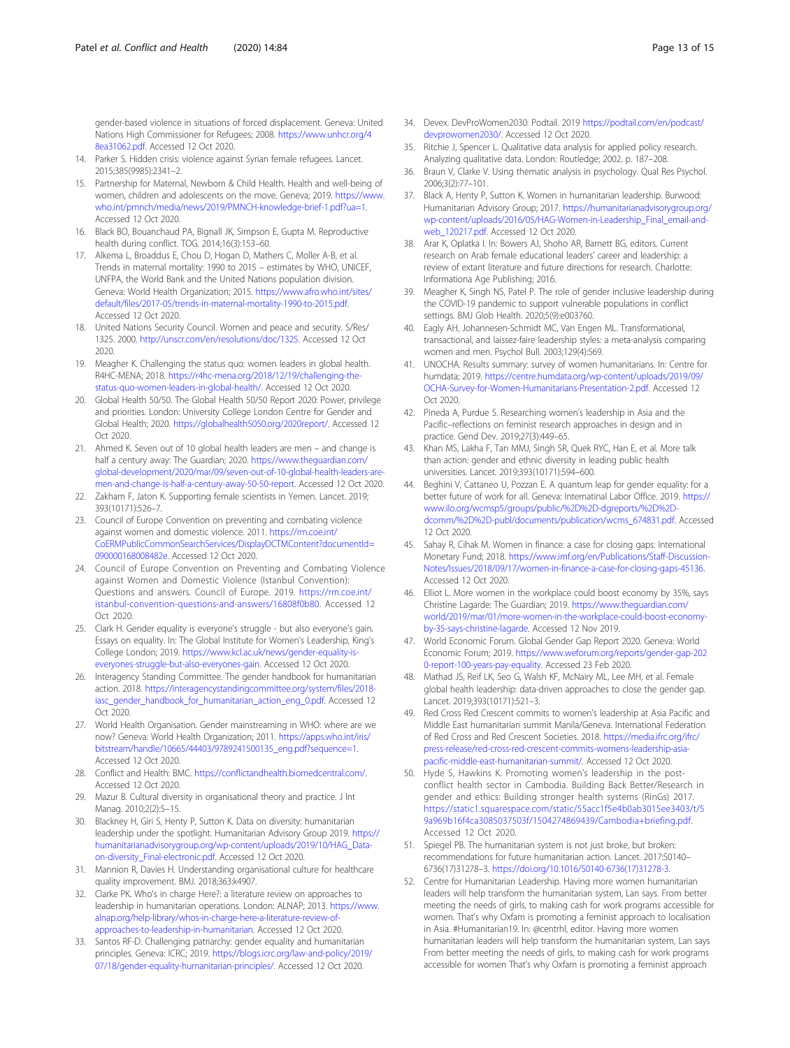<span id="page-12-0"></span>gender-based violence in situations of forced displacement. Geneva: United Nations High Commissioner for Refugees; 2008. [https://www.unhcr.org/4](https://www.unhcr.org/48ea31062.pdf) [8ea31062.pdf.](https://www.unhcr.org/48ea31062.pdf) Accessed 12 Oct 2020.

- 14. Parker S. Hidden crisis: violence against Syrian female refugees. Lancet. 2015;385(9985):2341–2.
- 15. Partnership for Maternal, Newborn & Child Health. Health and well-being of women, children and adolescents on the move. Geneva; 2019. [https://www.](https://www.who.int/pmnch/media/news/2019/PMNCH-knowledge-brief-1.pdf?ua=1) [who.int/pmnch/media/news/2019/PMNCH-knowledge-brief-1.pdf?ua=1.](https://www.who.int/pmnch/media/news/2019/PMNCH-knowledge-brief-1.pdf?ua=1) Accessed 12 Oct 2020.
- 16. Black BO, Bouanchaud PA, Bignall JK, Simpson E, Gupta M. Reproductive health during conflict. TOG. 2014;16(3):153–60.
- 17. Alkema L, Broaddus E, Chou D, Hogan D, Mathers C, Moller A-B, et al. Trends in maternal mortality: 1990 to 2015 – estimates by WHO, UNICEF, UNFPA, the World Bank and the United Nations population division. Geneva: World Health Organization; 2015. [https://www.afro.who.int/sites/](https://www.afro.who.int/sites/default/files/2017-05/trends-in-maternal-mortality-1990-to-2015.pdf) [default/files/2017-05/trends-in-maternal-mortality-1990-to-2015.pdf.](https://www.afro.who.int/sites/default/files/2017-05/trends-in-maternal-mortality-1990-to-2015.pdf) Accessed 12 Oct 2020.
- 18. United Nations Security Council. Women and peace and security. S/Res/ 1325. 2000. <http://unscr.com/en/resolutions/doc/1325>. Accessed 12 Oct 2020.
- 19. Meagher K. Challenging the status quo: women leaders in global health. R4HC-MENA; 2018. [https://r4hc-mena.org/2018/12/19/challenging-the](https://r4hc-mena.org/2018/12/19/challenging-the-status-quo-women-leaders-in-global-health/)[status-quo-women-leaders-in-global-health/](https://r4hc-mena.org/2018/12/19/challenging-the-status-quo-women-leaders-in-global-health/). Accessed 12 Oct 2020.
- 20. Global Health 50/50. The Global Health 50/50 Report 2020: Power, privilege and priorities. London: University College London Centre for Gender and Global Health; 2020. <https://globalhealth5050.org/2020report/>. Accessed 12 Oct 2020.
- 21. Ahmed K. Seven out of 10 global health leaders are men and change is half a century away: The Guardian; 2020. [https://www.theguardian.com/](https://www.theguardian.com/global-development/2020/mar/09/seven-out-of-10-global-health-leaders-are-men-and-change-is-half-a-century-away-50-50-report) [global-development/2020/mar/09/seven-out-of-10-global-health-leaders-are](https://www.theguardian.com/global-development/2020/mar/09/seven-out-of-10-global-health-leaders-are-men-and-change-is-half-a-century-away-50-50-report)[men-and-change-is-half-a-century-away-50-50-report](https://www.theguardian.com/global-development/2020/mar/09/seven-out-of-10-global-health-leaders-are-men-and-change-is-half-a-century-away-50-50-report). Accessed 12 Oct 2020.
- 22. Zakham F, Jaton K. Supporting female scientists in Yemen. Lancet. 2019; 393(10171):526–7.
- 23. Council of Europe Convention on preventing and combating violence against women and domestic violence. 2011. [https://rm.coe.int/](https://rm.coe.int/CoERMPublicCommonSearchServices/DisplayDCTMContent?documentId=090000168008482e) [CoERMPublicCommonSearchServices/DisplayDCTMContent?documentId=](https://rm.coe.int/CoERMPublicCommonSearchServices/DisplayDCTMContent?documentId=090000168008482e) [090000168008482e](https://rm.coe.int/CoERMPublicCommonSearchServices/DisplayDCTMContent?documentId=090000168008482e). Accessed 12 Oct 2020.
- 24. Council of Europe Convention on Preventing and Combating Violence against Women and Domestic Violence (Istanbul Convention): Questions and answers. Council of Europe. 2019. [https://rm.coe.int/](https://rm.coe.int/istanbul-convention-questions-and-answers/16808f0b80) [istanbul-convention-questions-and-answers/16808f0b80.](https://rm.coe.int/istanbul-convention-questions-and-answers/16808f0b80) Accessed 12 Oct 2020.
- 25. Clark H. Gender equality is everyone's struggle but also everyone's gain. Essays on equality. In: The Global Institute for Women's Leadership, King's College London; 2019. [https://www.kcl.ac.uk/news/gender-equality-is](https://www.kcl.ac.uk/news/gender-equality-is-everyones-struggle-but-also-everyones-gain)[everyones-struggle-but-also-everyones-gain.](https://www.kcl.ac.uk/news/gender-equality-is-everyones-struggle-but-also-everyones-gain) Accessed 12 Oct 2020.
- 26. Interagency Standing Committee. The gender handbook for humanitarian action. 2018. [https://interagencystandingcommittee.org/system/files/2018](https://interagencystandingcommittee.org/system/files/2018-iasc_gender_handbook_for_humanitarian_action_eng_0.pdf) [iasc\\_gender\\_handbook\\_for\\_humanitarian\\_action\\_eng\\_0.pdf](https://interagencystandingcommittee.org/system/files/2018-iasc_gender_handbook_for_humanitarian_action_eng_0.pdf). Accessed 12 Oct 2020.
- 27. World Health Organisation. Gender mainstreaming in WHO: where are we now? Geneva: World Health Organization; 2011. [https://apps.who.int/iris/](https://apps.who.int/iris/bitstream/handle/10665/44403/9789241500135_eng.pdf?sequence=1) [bitstream/handle/10665/44403/9789241500135\\_eng.pdf?sequence=1](https://apps.who.int/iris/bitstream/handle/10665/44403/9789241500135_eng.pdf?sequence=1). Accessed 12 Oct 2020.
- 28. Conflict and Health: BMC. [https://conflictandhealth.biomedcentral.com/.](https://conflictandhealth.biomedcentral.com/) Accessed 12 Oct 2020.
- 29. Mazur B. Cultural diversity in organisational theory and practice. J Int Manag. 2010;2(2):5–15.
- 30. Blackney H, Giri S, Henty P, Sutton K. Data on diversity: humanitarian leadership under the spotlight. Humanitarian Advisory Group 2019. [https://](https://humanitarianadvisorygroup.org/wp-content/uploads/2019/10/HAG_Data-on-diversity_Final-electronic.pdf) [humanitarianadvisorygroup.org/wp-content/uploads/2019/10/HAG\\_Data](https://humanitarianadvisorygroup.org/wp-content/uploads/2019/10/HAG_Data-on-diversity_Final-electronic.pdf)[on-diversity\\_Final-electronic.pdf](https://humanitarianadvisorygroup.org/wp-content/uploads/2019/10/HAG_Data-on-diversity_Final-electronic.pdf). Accessed 12 Oct 2020.
- 31. Mannion R, Davies H. Understanding organisational culture for healthcare quality improvement. BMJ. 2018;363:k4907.
- 32. Clarke PK. Who's in charge Here?: a literature review on approaches to leadership in humanitarian operations. London: ALNAP; 2013. [https://www.](https://www.alnap.org/help-library/whos-in-charge-here-a-literature-review-of-approaches-to-leadership-in-humanitarian) [alnap.org/help-library/whos-in-charge-here-a-literature-review-of](https://www.alnap.org/help-library/whos-in-charge-here-a-literature-review-of-approaches-to-leadership-in-humanitarian)[approaches-to-leadership-in-humanitarian.](https://www.alnap.org/help-library/whos-in-charge-here-a-literature-review-of-approaches-to-leadership-in-humanitarian) Accessed 12 Oct 2020.
- 33. Santos RF-D. Challenging patriarchy: gender equality and humanitarian principles. Geneva: ICRC; 2019. [https://blogs.icrc.org/law-and-policy/2019/](https://blogs.icrc.org/law-and-policy/2019/07/18/gender-equality-humanitarian-principles/) [07/18/gender-equality-humanitarian-principles/](https://blogs.icrc.org/law-and-policy/2019/07/18/gender-equality-humanitarian-principles/). Accessed 12 Oct 2020.
- 34. Devex. DevProWomen2030: Podtail. 2019 [https://podtail.com/en/podcast/](https://podtail.com/en/podcast/devprowomen2030/) [devprowomen2030/.](https://podtail.com/en/podcast/devprowomen2030/) Accessed 12 Oct 2020.
- 35. Ritchie J, Spencer L. Qualitative data analysis for applied policy research. Analyzing qualitative data. London: Routledge; 2002. p. 187–208.
- 36. Braun V, Clarke V. Using thematic analysis in psychology. Qual Res Psychol. 2006;3(2):77–101.
- 37. Black A, Henty P, Sutton K. Women in humanitarian leadership. Burwood: Humanitarian Advisory Group; 2017. [https://humanitarianadvisorygroup.org/](https://humanitarianadvisorygroup.org/wp-content/uploads/2016/05/HAG-Women-in-Leadership_Final_email-and-web_120217.pdf) [wp-content/uploads/2016/05/HAG-Women-in-Leadership\\_Final\\_email-and](https://humanitarianadvisorygroup.org/wp-content/uploads/2016/05/HAG-Women-in-Leadership_Final_email-and-web_120217.pdf)[web\\_120217.pdf.](https://humanitarianadvisorygroup.org/wp-content/uploads/2016/05/HAG-Women-in-Leadership_Final_email-and-web_120217.pdf) Accessed 12 Oct 2020.
- 38. Arar K, Oplatka I. In: Bowers AJ, Shoho AR, Barnett BG, editors. Current research on Arab female educational leaders' career and leadership: a review of extant literature and future directions for research. Charlotte: Informationa Age Publishing; 2016.
- 39. Meagher K, Singh NS, Patel P. The role of gender inclusive leadership during the COVID-19 pandemic to support vulnerable populations in conflict settings. BMJ Glob Health. 2020;5(9):e003760.
- 40. Eagly AH, Johannesen-Schmidt MC, Van Engen ML. Transformational, transactional, and laissez-faire leadership styles: a meta-analysis comparing women and men. Psychol Bull. 2003;129(4):569.
- 41. UNOCHA. Results summary: survey of women humanitarians. In: Centre for humdata; 2019. [https://centre.humdata.org/wp-content/uploads/2019/09/](https://centre.humdata.org/wp-content/uploads/2019/09/OCHA-Survey-for-Women-Humanitarians-Presentation-2.pdf) [OCHA-Survey-for-Women-Humanitarians-Presentation-2.pdf](https://centre.humdata.org/wp-content/uploads/2019/09/OCHA-Survey-for-Women-Humanitarians-Presentation-2.pdf). Accessed 12 Oct 2020.
- 42. Pineda A, Purdue S. Researching women's leadership in Asia and the Pacific–reflections on feminist research approaches in design and in practice. Gend Dev. 2019;27(3):449–65.
- 43. Khan MS, Lakha F, Tan MMJ, Singh SR, Quek RYC, Han E, et al. More talk than action: gender and ethnic diversity in leading public health universities. Lancet. 2019;393(10171):594–600.
- Beghini V, Cattaneo U, Pozzan E. A quantum leap for gender equality: for a better future of work for all. Geneva: Internatinal Labor Office. 2019. [https://](https://www.ilo.org/wcmsp5/groups/public/%2D%2D-dgreports/%2D%2D-dcomm/%2D%2D-publ/documents/publication/wcms_674831.pdf) [www.ilo.org/wcmsp5/groups/public/%2D%2D-dgreports/%2D%2D](https://www.ilo.org/wcmsp5/groups/public/%2D%2D-dgreports/%2D%2D-dcomm/%2D%2D-publ/documents/publication/wcms_674831.pdf)[dcomm/%2D%2D-publ/documents/publication/wcms\\_674831.pdf.](https://www.ilo.org/wcmsp5/groups/public/%2D%2D-dgreports/%2D%2D-dcomm/%2D%2D-publ/documents/publication/wcms_674831.pdf) Accessed 12 Oct 2020.
- 45. Sahay R, Cihak M. Women in finance: a case for closing gaps: International Monetary Fund; 2018. [https://www.imf.org/en/Publications/Staff-Discussion-](https://www.imf.org/en/Publications/Staff-Discussion-Notes/Issues/2018/09/17/women-in-finance-a-case-for-closing-gaps-45136)[Notes/Issues/2018/09/17/women-in-finance-a-case-for-closing-gaps-45136](https://www.imf.org/en/Publications/Staff-Discussion-Notes/Issues/2018/09/17/women-in-finance-a-case-for-closing-gaps-45136). Accessed 12 Oct 2020.
- 46. Elliot L. More women in the workplace could boost economy by 35%, says Christine Lagarde: The Guardian; 2019. [https://www.theguardian.com/](https://www.theguardian.com/world/2019/mar/01/more-women-in-the-workplace-could-boost-economy-by-35-says-christine-lagarde) [world/2019/mar/01/more-women-in-the-workplace-could-boost-economy](https://www.theguardian.com/world/2019/mar/01/more-women-in-the-workplace-could-boost-economy-by-35-says-christine-lagarde)[by-35-says-christine-lagarde](https://www.theguardian.com/world/2019/mar/01/more-women-in-the-workplace-could-boost-economy-by-35-says-christine-lagarde). Accessed 12 Nov 2019.
- 47. World Economic Forum. Global Gender Gap Report 2020. Geneva: World Economic Forum; 2019. [https://www.weforum.org/reports/gender-gap-202](https://www.weforum.org/reports/gender-gap-2020-report-100-years-pay-equality) [0-report-100-years-pay-equality](https://www.weforum.org/reports/gender-gap-2020-report-100-years-pay-equality). Accessed 23 Feb 2020.
- 48. Mathad JS, Reif LK, Seo G, Walsh KF, McNairy ML, Lee MH, et al. Female global health leadership: data-driven approaches to close the gender gap. Lancet. 2019;393(10171):521–3.
- 49. Red Cross Red Crescent commits to women's leadership at Asia Pacific and Middle East humanitarian summit Manila/Geneva. International Federation of Red Cross and Red Crescent Societies. 2018. [https://media.ifrc.org/ifrc/](https://media.ifrc.org/ifrc/press-release/red-cross-red-crescent-commits-womens-leadership-asia-pacific-middle-east-humanitarian-summit/) [press-release/red-cross-red-crescent-commits-womens-leadership-asia](https://media.ifrc.org/ifrc/press-release/red-cross-red-crescent-commits-womens-leadership-asia-pacific-middle-east-humanitarian-summit/)[pacific-middle-east-humanitarian-summit/.](https://media.ifrc.org/ifrc/press-release/red-cross-red-crescent-commits-womens-leadership-asia-pacific-middle-east-humanitarian-summit/) Accessed 12 Oct 2020.
- 50. Hyde S, Hawkins K. Promoting women's leadership in the postconflict health sector in Cambodia. Building Back Better/Research in gender and ethics: Building stronger health systems (RinGs) 2017. [https://static1.squarespace.com/static/55acc1f5e4b0ab3015ee3403/t/5](https://static1.squarespace.com/static/55acc1f5e4b0ab3015ee3403/t/59a969b16f4ca3085037503f/1504274869439/Cambodia+briefing.pdf) [9a969b16f4ca3085037503f/1504274869439/Cambodia+briefing.pdf](https://static1.squarespace.com/static/55acc1f5e4b0ab3015ee3403/t/59a969b16f4ca3085037503f/1504274869439/Cambodia+briefing.pdf). Accessed 12 Oct 2020.
- 51. Spiegel PB. The humanitarian system is not just broke, but broken: recommendations for future humanitarian action. Lancet. 2017:S0140– 6736(17)31278–3. [https://doi.org/10.1016/S0140-6736\(17\)31278-3](https://doi.org/10.1016/S0140-6736(17)31278-3).
- 52. Centre for Humanitarian Leadership. Having more women humanitarian leaders will help transform the humanitarian system, Lan says. From better meeting the needs of girls, to making cash for work programs accessible for women. That's why Oxfam is promoting a feminist approach to localisation in Asia. #Humanitarian19. In: @centrhl, editor. Having more women humanitarian leaders will help transform the humanitarian system, Lan says From better meeting the needs of girls, to making cash for work programs accessible for women That's why Oxfam is promoting a feminist approach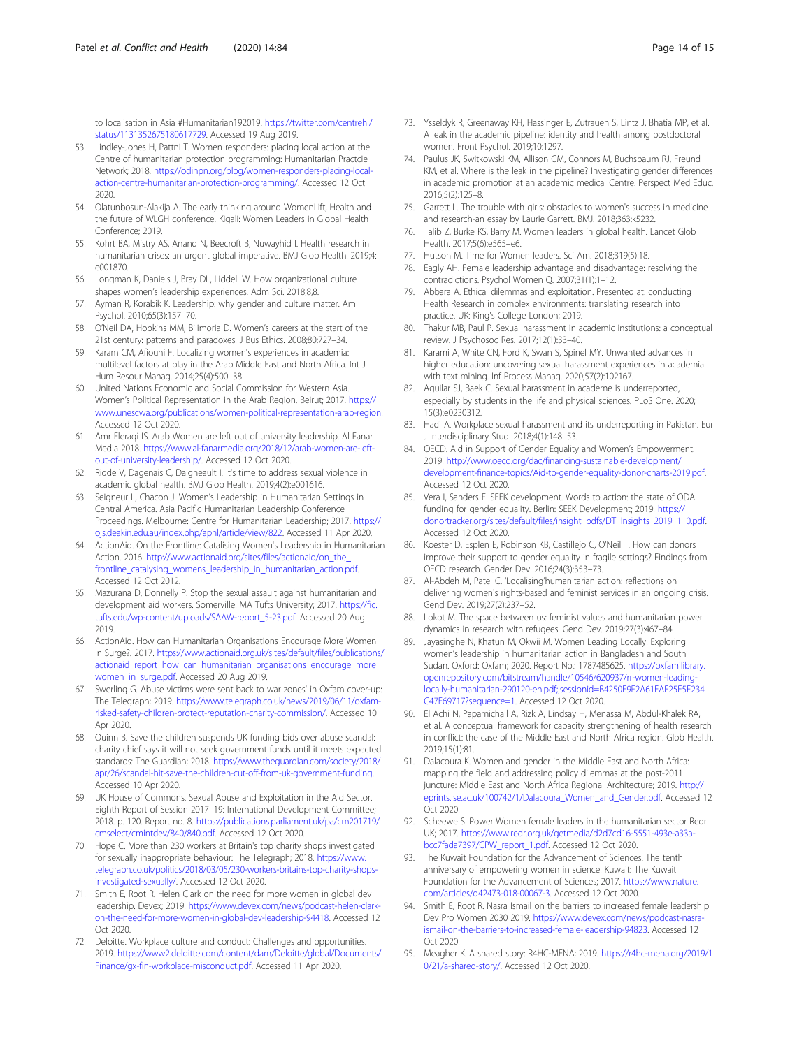<span id="page-13-0"></span>to localisation in Asia #Humanitarian192019. [https://twitter.com/centrehl/](https://twitter.com/centrehl/status/1131352675180617729) [status/1131352675180617729](https://twitter.com/centrehl/status/1131352675180617729). Accessed 19 Aug 2019.

- 53. Lindley-Jones H, Pattni T. Women responders: placing local action at the Centre of humanitarian protection programming: Humanitarian Practcie Network; 2018. [https://odihpn.org/blog/women-responders-placing-local](https://odihpn.org/blog/women-responders-placing-local-action-centre-humanitarian-protection-programming/)[action-centre-humanitarian-protection-programming/.](https://odihpn.org/blog/women-responders-placing-local-action-centre-humanitarian-protection-programming/) Accessed 12 Oct 2020.
- 54. Olatunbosun-Alakija A. The early thinking around WomenLift, Health and the future of WLGH conference. Kigali: Women Leaders in Global Health Conference; 2019.
- 55. Kohrt BA, Mistry AS, Anand N, Beecroft B, Nuwayhid I. Health research in humanitarian crises: an urgent global imperative. BMJ Glob Health. 2019;4: e001870.
- 56. Longman K, Daniels J, Bray DL, Liddell W. How organizational culture shapes women's leadership experiences. Adm Sci. 2018;8,8.
- 57. Ayman R, Korabik K. Leadership: why gender and culture matter. Am Psychol. 2010;65(3):157–70.
- 58. O'Neil DA, Hopkins MM, Bilimoria D. Women's careers at the start of the 21st century: patterns and paradoxes. J Bus Ethics. 2008;80:727–34.
- 59. Karam CM, Afiouni F. Localizing women's experiences in academia: multilevel factors at play in the Arab Middle East and North Africa. Int J Hum Resour Manag. 2014;25(4):500–38.
- 60. United Nations Economic and Social Commission for Western Asia. Women's Political Representation in the Arab Region. Beirut; 2017. [https://](https://www.unescwa.org/publications/women-political-representation-arab-region) [www.unescwa.org/publications/women-political-representation-arab-region.](https://www.unescwa.org/publications/women-political-representation-arab-region) Accessed 12 Oct 2020.
- 61. Amr Eleraqi IS. Arab Women are left out of university leadership. Al Fanar Media 2018. [https://www.al-fanarmedia.org/2018/12/arab-women-are-left](https://www.al-fanarmedia.org/2018/12/arab-women-are-left-out-of-university-leadership/)[out-of-university-leadership/.](https://www.al-fanarmedia.org/2018/12/arab-women-are-left-out-of-university-leadership/) Accessed 12 Oct 2020.
- 62. Ridde V, Dagenais C, Daigneault I. It's time to address sexual violence in academic global health. BMJ Glob Health. 2019;4(2):e001616.
- 63. Seigneur L, Chacon J. Women's Leadership in Humanitarian Settings in Central America. Asia Pacific Humanitarian Leadership Conference Proceedings. Melbourne: Centre for Humanitarian Leadership; 2017. [https://](https://ojs.deakin.edu.au/index.php/aphl/article/view/822) [ojs.deakin.edu.au/index.php/aphl/article/view/822.](https://ojs.deakin.edu.au/index.php/aphl/article/view/822) Accessed 11 Apr 2020.
- 64. ActionAid. On the Frontline: Catalising Women's Leadership in Humanitarian Action. 2016. [http://www.actionaid.org/sites/files/actionaid/on\\_the\\_](http://www.actionaid.org/sites/files/actionaid/on_the_frontline_catalysing_womens_leadership_in_humanitarian_action.pdf) [frontline\\_catalysing\\_womens\\_leadership\\_in\\_humanitarian\\_action.pdf.](http://www.actionaid.org/sites/files/actionaid/on_the_frontline_catalysing_womens_leadership_in_humanitarian_action.pdf) Accessed 12 Oct 2012.
- 65. Mazurana D, Donnelly P. Stop the sexual assault against humanitarian and development aid workers. Somerville: MA Tufts University; 2017. [https://fic.](https://fic.tufts.edu/wp-content/uploads/SAAW-report_5-23.pdf) [tufts.edu/wp-content/uploads/SAAW-report\\_5-23.pdf.](https://fic.tufts.edu/wp-content/uploads/SAAW-report_5-23.pdf) Accessed 20 Aug 2019.
- 66. ActionAid. How can Humanitarian Organisations Encourage More Women in Surge?. 2017. [https://www.actionaid.org.uk/sites/default/files/publications/](https://www.actionaid.org.uk/sites/default/files/publications/actionaid_report_how_can_humanitarian_organisations_encourage_more_women_in_surge.pdf) [actionaid\\_report\\_how\\_can\\_humanitarian\\_organisations\\_encourage\\_more\\_](https://www.actionaid.org.uk/sites/default/files/publications/actionaid_report_how_can_humanitarian_organisations_encourage_more_women_in_surge.pdf) [women\\_in\\_surge.pdf](https://www.actionaid.org.uk/sites/default/files/publications/actionaid_report_how_can_humanitarian_organisations_encourage_more_women_in_surge.pdf). Accessed 20 Aug 2019.
- 67. Swerling G. Abuse victims were sent back to war zones' in Oxfam cover-up: The Telegraph; 2019. [https://www.telegraph.co.uk/news/2019/06/11/oxfam](https://www.telegraph.co.uk/news/2019/06/11/oxfam-risked-safety-children-protect-reputation-charity-commission/)[risked-safety-children-protect-reputation-charity-commission/.](https://www.telegraph.co.uk/news/2019/06/11/oxfam-risked-safety-children-protect-reputation-charity-commission/) Accessed 10 Apr 2020.
- 68. Quinn B. Save the children suspends UK funding bids over abuse scandal: charity chief says it will not seek government funds until it meets expected standards: The Guardian; 2018. [https://www.theguardian.com/society/2018/](https://www.theguardian.com/society/2018/apr/26/scandal-hit-save-the-children-cut-off-from-uk-government-funding) [apr/26/scandal-hit-save-the-children-cut-off-from-uk-government-funding.](https://www.theguardian.com/society/2018/apr/26/scandal-hit-save-the-children-cut-off-from-uk-government-funding) Accessed 10 Apr 2020.
- 69. UK House of Commons. Sexual Abuse and Exploitation in the Aid Sector. Eighth Report of Session 2017–19: International Development Committee; 2018. p. 120. Report no. 8. [https://publications.parliament.uk/pa/cm201719/](https://publications.parliament.uk/pa/cm201719/cmselect/cmintdev/840/840.pdf) [cmselect/cmintdev/840/840.pdf](https://publications.parliament.uk/pa/cm201719/cmselect/cmintdev/840/840.pdf). Accessed 12 Oct 2020.
- 70. Hope C. More than 230 workers at Britain's top charity shops investigated for sexually inappropriate behaviour: The Telegraph; 2018. [https://www.](https://www.telegraph.co.uk/politics/2018/03/05/230-workers-britains-top-charity-shops-investigated-sexually/) [telegraph.co.uk/politics/2018/03/05/230-workers-britains-top-charity-shops](https://www.telegraph.co.uk/politics/2018/03/05/230-workers-britains-top-charity-shops-investigated-sexually/)[investigated-sexually/.](https://www.telegraph.co.uk/politics/2018/03/05/230-workers-britains-top-charity-shops-investigated-sexually/) Accessed 12 Oct 2020.
- 71. Smith E, Root R. Helen Clark on the need for more women in global dev leadership. Devex; 2019. [https://www.devex.com/news/podcast-helen-clark](https://www.devex.com/news/podcast-helen-clark-on-the-need-for-more-women-in-global-dev-leadership-94418)[on-the-need-for-more-women-in-global-dev-leadership-94418](https://www.devex.com/news/podcast-helen-clark-on-the-need-for-more-women-in-global-dev-leadership-94418). Accessed 12 Oct 2020.
- 72. Deloitte. Workplace culture and conduct: Challenges and opportunities. 2019. [https://www2.deloitte.com/content/dam/Deloitte/global/Documents/](https://www2.deloitte.com/content/dam/Deloitte/global/Documents/Finance/gx-fin-workplace-misconduct.pdf) [Finance/gx-fin-workplace-misconduct.pdf.](https://www2.deloitte.com/content/dam/Deloitte/global/Documents/Finance/gx-fin-workplace-misconduct.pdf) Accessed 11 Apr 2020.
- 73. Ysseldyk R, Greenaway KH, Hassinger E, Zutrauen S, Lintz J, Bhatia MP, et al. A leak in the academic pipeline: identity and health among postdoctoral women. Front Psychol. 2019;10:1297.
- 74. Paulus JK, Switkowski KM, Allison GM, Connors M, Buchsbaum RJ, Freund KM, et al. Where is the leak in the pipeline? Investigating gender differences in academic promotion at an academic medical Centre. Perspect Med Educ. 2016;5(2):125–8.
- 75. Garrett L. The trouble with girls: obstacles to women's success in medicine and research-an essay by Laurie Garrett. BMJ. 2018;363:k5232.
- 76. Talib Z, Burke KS, Barry M. Women leaders in global health. Lancet Glob Health. 2017;5(6):e565–e6.
- 77. Hutson M. Time for Women leaders. Sci Am. 2018;319(5):18.
- 78. Eagly AH. Female leadership advantage and disadvantage: resolving the contradictions. Psychol Women Q. 2007;31(1):1–12.
- 79. Abbara A. Ethical dilemmas and exploitation. Presented at: conducting Health Research in complex environments: translating research into practice. UK: King's College London; 2019.
- 80. Thakur MB, Paul P. Sexual harassment in academic institutions: a conceptual review. J Psychosoc Res. 2017;12(1):33–40.
- 81. Karami A, White CN, Ford K, Swan S, Spinel MY. Unwanted advances in higher education: uncovering sexual harassment experiences in academia with text mining. Inf Process Manag. 2020;57(2):102167.
- 82. Aguilar SJ, Baek C. Sexual harassment in academe is underreported, especially by students in the life and physical sciences. PLoS One. 2020; 15(3):e0230312.
- 83. Hadi A. Workplace sexual harassment and its underreporting in Pakistan. Eur J Interdisciplinary Stud. 2018;4(1):148–53.
- 84. OECD. Aid in Support of Gender Equality and Women's Empowerment. 2019. [http://www.oecd.org/dac/financing-sustainable-development/](http://www.oecd.org/dac/financing-sustainable-development/development-finance-topics/Aid-to-gender-equality-donor-charts-2019.pdf) [development-finance-topics/Aid-to-gender-equality-donor-charts-2019.pdf](http://www.oecd.org/dac/financing-sustainable-development/development-finance-topics/Aid-to-gender-equality-donor-charts-2019.pdf). Accessed 12 Oct 2020.
- 85. Vera I, Sanders F. SEEK development. Words to action: the state of ODA funding for gender equality. Berlin: SEEK Development; 2019. [https://](https://donortracker.org/sites/default/files/insight_pdfs/DT_Insights_2019_1_0.pdf) [donortracker.org/sites/default/files/insight\\_pdfs/DT\\_Insights\\_2019\\_1\\_0.pdf.](https://donortracker.org/sites/default/files/insight_pdfs/DT_Insights_2019_1_0.pdf) Accessed 12 Oct 2020.
- 86. Koester D, Esplen E, Robinson KB, Castillejo C, O'Neil T. How can donors improve their support to gender equality in fragile settings? Findings from OECD research. Gender Dev. 2016;24(3):353–73.
- 87. Al-Abdeh M, Patel C. 'Localising'humanitarian action: reflections on delivering women's rights-based and feminist services in an ongoing crisis. Gend Dev. 2019;27(2):237–52.
- 88. Lokot M. The space between us: feminist values and humanitarian power dynamics in research with refugees. Gend Dev. 2019;27(3):467–84.
- Jayasinghe N, Khatun M, Okwii M. Women Leading Locally: Exploring women's leadership in humanitarian action in Bangladesh and South Sudan. Oxford: Oxfam; 2020. Report No.: 1787485625. [https://oxfamilibrary.](https://oxfamilibrary.openrepository.com/bitstream/handle/10546/620937/rr-women-leading-locally-humanitarian-290120-en.pdf;jsessionid=B4250E9F2A61EAF25E5F234C47E69717?sequence=1) [openrepository.com/bitstream/handle/10546/620937/rr-women-leading](https://oxfamilibrary.openrepository.com/bitstream/handle/10546/620937/rr-women-leading-locally-humanitarian-290120-en.pdf;jsessionid=B4250E9F2A61EAF25E5F234C47E69717?sequence=1)[locally-humanitarian-290120-en.pdf;jsessionid=B4250E9F2A61EAF25E5F234](https://oxfamilibrary.openrepository.com/bitstream/handle/10546/620937/rr-women-leading-locally-humanitarian-290120-en.pdf;jsessionid=B4250E9F2A61EAF25E5F234C47E69717?sequence=1) [C47E69717?sequence=1.](https://oxfamilibrary.openrepository.com/bitstream/handle/10546/620937/rr-women-leading-locally-humanitarian-290120-en.pdf;jsessionid=B4250E9F2A61EAF25E5F234C47E69717?sequence=1) Accessed 12 Oct 2020.
- 90. El Achi N, Papamichail A, Rizk A, Lindsay H, Menassa M, Abdul-Khalek RA, et al. A conceptual framework for capacity strengthening of health research in conflict: the case of the Middle East and North Africa region. Glob Health. 2019;15(1):81.
- 91. Dalacoura K. Women and gender in the Middle East and North Africa: mapping the field and addressing policy dilemmas at the post-2011 juncture: Middle East and North Africa Regional Architecture; 2019. [http://](http://eprints.lse.ac.uk/100742/1/Dalacoura_Women_and_Gender.pdf) [eprints.lse.ac.uk/100742/1/Dalacoura\\_Women\\_and\\_Gender.pdf](http://eprints.lse.ac.uk/100742/1/Dalacoura_Women_and_Gender.pdf). Accessed 12 Oct 2020.
- 92. Scheewe S. Power Women female leaders in the humanitarian sector Redr UK; 2017. [https://www.redr.org.uk/getmedia/d2d7cd16-5551-493e-a33a](https://www.redr.org.uk/getmedia/d2d7cd16-5551-493e-a33a-bcc7fada7397/CPW_report_1.pdf)[bcc7fada7397/CPW\\_report\\_1.pdf](https://www.redr.org.uk/getmedia/d2d7cd16-5551-493e-a33a-bcc7fada7397/CPW_report_1.pdf). Accessed 12 Oct 2020.
- 93. The Kuwait Foundation for the Advancement of Sciences. The tenth anniversary of empowering women in science. Kuwait: The Kuwait Foundation for the Advancement of Sciences; 2017. [https://www.nature.](https://www.nature.com/articles/d42473-018-00067-3) [com/articles/d42473-018-00067-3.](https://www.nature.com/articles/d42473-018-00067-3) Accessed 12 Oct 2020.
- 94. Smith E, Root R. Nasra Ismail on the barriers to increased female leadership Dev Pro Women 2030 2019. [https://www.devex.com/news/podcast-nasra](https://www.devex.com/news/podcast-nasra-ismail-on-the-barriers-to-increased-female-leadership-94823)[ismail-on-the-barriers-to-increased-female-leadership-94823](https://www.devex.com/news/podcast-nasra-ismail-on-the-barriers-to-increased-female-leadership-94823). Accessed 12 Oct 2020.
- 95. Meagher K. A shared story: R4HC-MENA; 2019. [https://r4hc-mena.org/2019/1](https://r4hc-mena.org/2019/10/21/a-shared-story/) [0/21/a-shared-story/](https://r4hc-mena.org/2019/10/21/a-shared-story/). Accessed 12 Oct 2020.